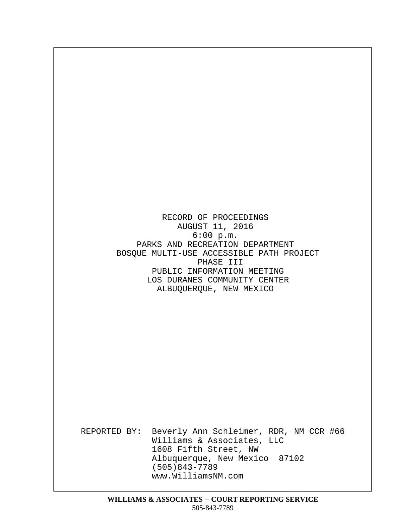RECORD OF PROCEEDINGS AUGUST 11, 2016  $6:00 p.m.$ PARKS AND RECREATION DEPARTMENT BOSQUE MULTI-USE ACCESSIBLE PATH PROJECT PHASE III PUBLIC INFORMATION MEETING LOS DURANES COMMUNITY CENTER ALBUQUERQUE, NEW MEXICO

· · · · · · · · · · · · · · · · · · · · · · · · · · · · · · · · · · · · · · · · · · · · · · · · · · · · · ·

· · · · · · · · · · · · · · · · · · · · · · · · · · · · · · · · · · · · · · · · · · · · ·

REPORTED BY: Beverly Ann Schleimer, RDR, NM CCR #66 Williams & Associates, LLC 1608 Fifth Street, NW Albuquerque, New Mexico 87102  $(505)843 - 7789$ www.WilliamsNM.com · · ·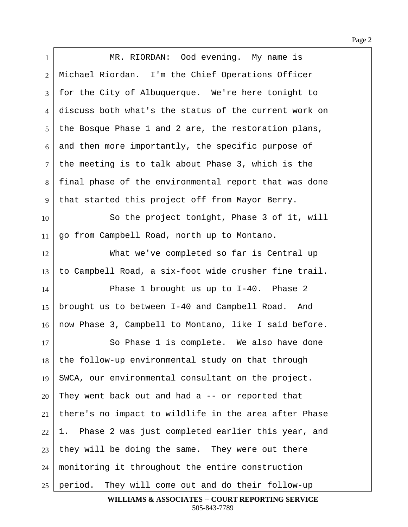1 | MR. RIORDAN: Ood evening. My name is 2 | Michael Riordan. I'm the Chief Operations Officer 3 | for the City of Albuquerque. We're here tonight to 4 discuss both what's the status of the current work on  $5$  the Bosque Phase 1 and 2 are, the restoration plans,  $6$  and then more importantly, the specific purpose of  $7$  the meeting is to talk about Phase 3, which is the 8 | final phase of the environmental report that was done  $9$  that started this project off from Mayor Berry. 10 So the project tonight, Phase 3 of it, will  $11$  go from Campbell Road, north up to Montano. 12 What we've completed so far is Central up 13 | to Campbell Road, a six-foot wide crusher fine trail.  $14$  Phase 1 brought us up to I-40. Phase 2 15 | brought us to between I-40 and Campbell Road. And 16 | now Phase 3, Campbell to Montano, like I said before. 17 So Phase 1 is complete. We also have done  $18$  the follow-up environmental study on that through 19 | SWCA, our environmental consultant on the project.  $20$  They went back out and had a  $-$ - or reported that  $21$  there's no impact to wildlife in the area after Phase  $22$  | 1. Phase 2 was just completed earlier this year, and  $23$  they will be doing the same. They were out there  $24$  | monitoring it throughout the entire construction  $25$  | period. They will come out and do their follow-up

> **WILLIAMS & ASSOCIATES -- COURT REPORTING SERVICE** 505-843-7789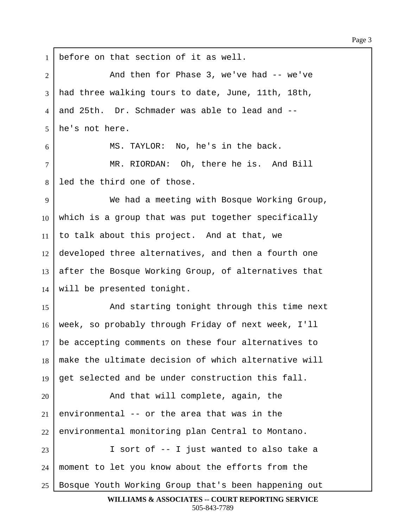Page 3

1 before on that section of it as well. 2 And then for Phase 3, we've had -- we've 3 had three walking tours to date, June, 11th, 18th, 4 and 25th. Dr. Schmader was able to lead and -- $5$  he's not here.  $6$  MS. TAYLOR: No, he's in the back. 7 | MR. RIORDAN: Oh, there he is. And Bill 8 led the third one of those. ·9· · · · · · · We had a meeting with Bosque Working Group,  $10$  which is a group that was put together specifically 11 | to talk about this project. And at that, we  $12$  developed three alternatives, and then a fourth one 13 after the Bosque Working Group, of alternatives that  $14$  will be presented tonight. 15 | And starting tonight through this time next 16 | week, so probably through Friday of next week, I'll  $17$  be accepting comments on these four alternatives to  $18$  make the ultimate decision of which alternative will 19  $\vert$  get selected and be under construction this fall. 20 and that will complete, again, the 21 environmental -- or the area that was in the  $22$  environmental monitoring plan Central to Montano. 23 | I sort of -- I just wanted to also take a  $24$  moment to let you know about the efforts from the 25 | Bosque Youth Working Group that's been happening out **WILLIAMS & ASSOCIATES -- COURT REPORTING SERVICE**

505-843-7789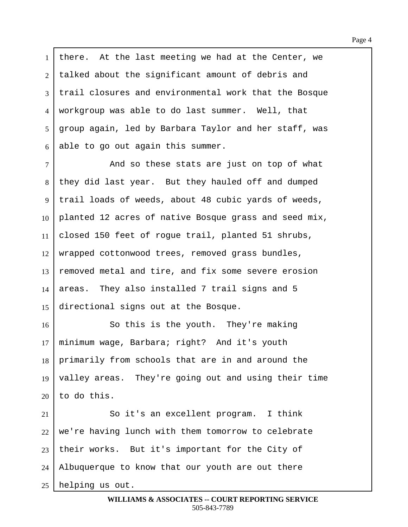1 | there. At the last meeting we had at the Center, we 2 | talked about the significant amount of debris and 3 | trail closures and environmental work that the Bosque 4 | workgroup was able to do last summer. Well, that  $5 \mid$  group again, led by Barbara Taylor and her staff, was  $6$  able to go out again this summer.

7 and so these stats are just on top of what 8 | they did last year. But they hauled off and dumped 9 | trail loads of weeds, about 48 cubic yards of weeds,  $10$  planted 12 acres of native Bosque grass and seed mix, 11 | closed 150 feet of rogue trail, planted 51 shrubs,  $12$  wrapped cottonwood trees, removed grass bundles,  $13$  removed metal and tire, and fix some severe erosion  $14$  areas. They also installed 7 trail signs and 5  $15$  directional signs out at the Bosque.

**8** · So this is the youth. They're making minimum wage, Barbara; right? And it's youth 18 | primarily from schools that are in and around the  $\vert$  valley areas. They're going out and using their time to do this.

21 So it's an excellent program. I think we're having lunch with them tomorrow to celebrate their works. But it's important for the City of | Albuquerque to know that our youth are out there helping us out.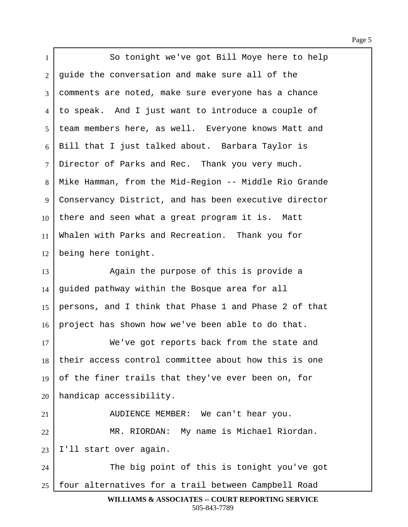1 | So tonight we've got Bill Moye here to help 2 quide the conversation and make sure all of the ·3· ·comments are noted, make sure everyone has a chance 4 | to speak. And I just want to introduce a couple of 5 | team members here, as well. Everyone knows Matt and 6 | Bill that I just talked about. Barbara Taylor is 7 | Director of Parks and Rec. Thank you very much. 8 | Mike Hamman, from the Mid-Region -- Middle Rio Grande 9 Conservancy District, and has been executive director  $10$  there and seen what a great program it is. Matt 11 Whalen with Parks and Recreation. Thank you for 12 | being here tonight. 13 Again the purpose of this is provide a  $14$  guided pathway within the Bosque area for all 15 | persons, and I think that Phase 1 and Phase 2 of that  $16$  project has shown how we've been able to do that. 17 **We've got reports back from the state and**  $18$  their access control committee about how this is one 19 of the finer trails that they've ever been on, for  $20$  | handicap accessibility. 21 | AUDIENCE MEMBER: We can't hear you. 22 | MR. RIORDAN: My name is Michael Riordan.  $23$  I'll start over again. 24 The big point of this is tonight you've got 25 | four alternatives for a trail between Campbell Road

**WILLIAMS & ASSOCIATES -- COURT REPORTING SERVICE** 505-843-7789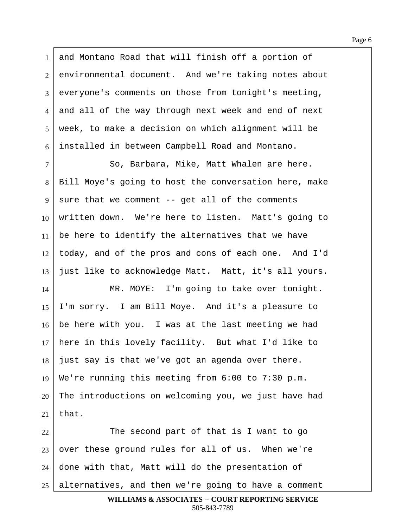1 and Montano Road that will finish off a portion of  $2$  environmental document. And we're taking notes about 3 everyone's comments on those from tonight's meeting, 4 and all of the way through next week and end of next 5 | week, to make a decision on which alignment will be 6 installed in between Campbell Road and Montano.

7 | So, Barbara, Mike, Matt Whalen are here. 8 | Bill Moye's going to host the conversation here, make  $9 \mid$  sure that we comment -- get all of the comments  $10$  written down. We're here to listen. Matt's going to  $11$  be here to identify the alternatives that we have  $12$  today, and of the pros and cons of each one. And I'd  $13$  just like to acknowledge Matt. Matt, it's all yours.

14 | MR. MOYE: I'm going to take over tonight. 15  $\vert$  I'm sorry. I am Bill Moye. And it's a pleasure to  $16$  be here with you. I was at the last meeting we had 17 | here in this lovely facility. But what I'd like to  $18$  just say is that we've got an agenda over there. 19 | We're running this meeting from  $6:00$  to 7:30 p.m.  $20$  The introductions on welcoming you, we just have had 21 | that.

22 The second part of that is I want to go over these ground rules for all of us. When we're done with that, Matt will do the presentation of alternatives, and then we're going to have a comment

```
WILLIAMS & ASSOCIATES -- COURT REPORTING SERVICE
        505-843-7789
```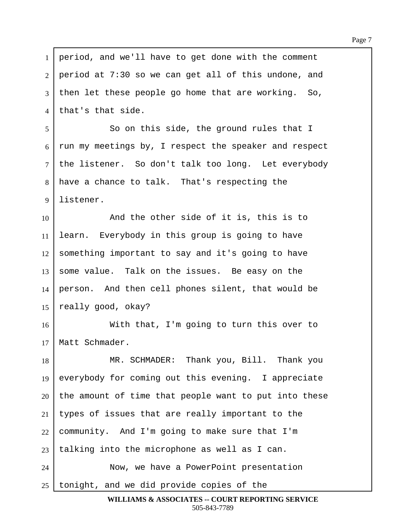| $\mathbf{1}$   | period, and we'll have to get done with the comment    |
|----------------|--------------------------------------------------------|
| 2              | period at 7:30 so we can get all of this undone, and   |
| $\overline{3}$ | then let these people go home that are working.<br>So, |
| $\overline{4}$ | that's that side.                                      |
| 5              | So on this side, the ground rules that I               |
| 6              | run my meetings by, I respect the speaker and respect  |
| $\tau$         | the listener. So don't talk too long. Let everybody    |
| 8              | have a chance to talk. That's respecting the           |
| 9              | listener.                                              |
| 10             | And the other side of it is, this is to                |
| 11             | learn. Everybody in this group is going to have        |
| 12             | something important to say and it's going to have      |
| 13             | some value. Talk on the issues. Be easy on the         |
| 14             | person. And then cell phones silent, that would be     |
| 15             | really good, okay?                                     |
| 16             | With that, I'm going to turn this over to              |
| 17             | Matt Schmader.                                         |
| 18             | MR. SCHMADER: Thank you, Bill. Thank you               |
| 19             | everybody for coming out this evening. I appreciate    |
| 20             | the amount of time that people want to put into these  |
| 21             | types of issues that are really important to the       |
| 22             | community. And I'm going to make sure that I'm         |
| 23             | talking into the microphone as well as I can.          |
| 24             | Now, we have a PowerPoint presentation                 |
| 25             | tonight, and we did provide copies of the              |

Г

**WILLIAMS & ASSOCIATES -- COURT REPORTING SERVICE** 505-843-7789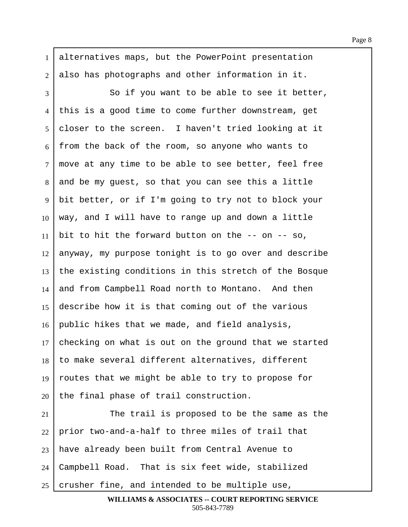1 alternatives maps, but the PowerPoint presentation  $2$  also has photographs and other information in it. 3 So if you want to be able to see it better, 4 this is a good time to come further downstream, get  $5$  closer to the screen. I haven't tried looking at it  $6$  from the back of the room, so anyone who wants to  $7$  move at any time to be able to see better, feel free 8 and be my guest, so that you can see this a little 9 | bit better, or if I'm going to try not to block your  $10$  way, and I will have to range up and down a little 11 bit to hit the forward button on the  $--$  on  $--$  so,  $12$  anyway, my purpose tonight is to go over and describe  $13$  the existing conditions in this stretch of the Bosque 14 and from Campbell Road north to Montano. And then 15 describe how it is that coming out of the various 16 public hikes that we made, and field analysis, 17 | checking on what is out on the ground that we started  $18$   $\vert$  to make several different alternatives, different 19  $\vert$  routes that we might be able to try to propose for  $20$  the final phase of trail construction.  $21$   $\parallel$  The trail is proposed to be the same as the 22 | prior two-and-a-half to three miles of trail that

23 | have already been built from Central Avenue to 24 Campbell Road. That is six feet wide, stabilized

 $25$  crusher fine, and intended to be multiple use,

**WILLIAMS & ASSOCIATES -- COURT REPORTING SERVICE** 505-843-7789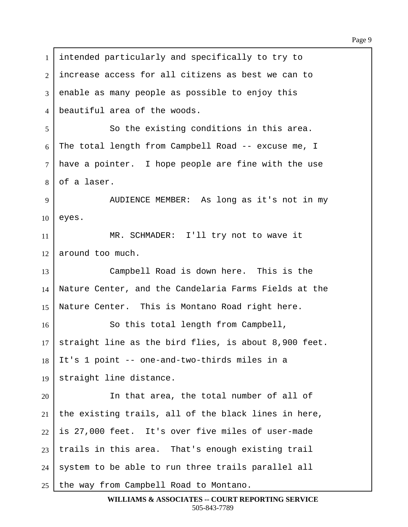1 intended particularly and specifically to try to 2 I increase access for all citizens as best we can to 3 enable as many people as possible to enjoy this 4 beautiful area of the woods. 5 So the existing conditions in this area.  $6$  The total length from Campbell Road -- excuse me, I  $7$  have a pointer. I hope people are fine with the use  $8 \cdot 6$  a laser. 9 | AUDIENCE MEMBER: As long as it's not in my  $10$  eyes. 11 | MR. SCHMADER: I'll try not to wave it  $12$  around too much. 13 Campbell Road is down here. This is the 14 | Nature Center, and the Candelaria Farms Fields at the 15 Nature Center. This is Montano Road right here. 16 | So this total length from Campbell,  $17$  straight line as the bird flies, is about 8,900 feet.  $18$  It's 1 point -- one-and-two-thirds miles in a 19 | straight line distance. 20 In that area, the total number of all of 21 | the existing trails, all of the black lines in here,  $22$  is 27,000 feet. It's over five miles of user-made  $23$  trails in this area. That's enough existing trail 24 | system to be able to run three trails parallel all  $25$  the way from Campbell Road to Montano.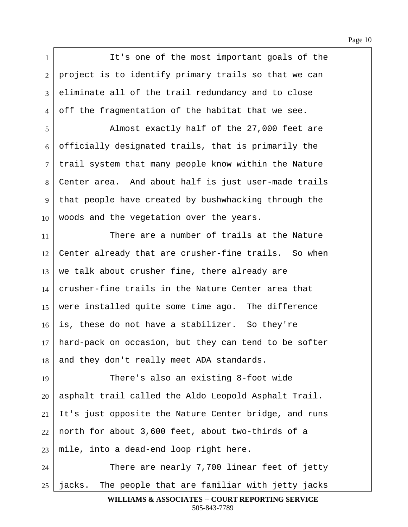1 I is one of the most important goals of the  $2$  | project is to identify primary trails so that we can 3 eliminate all of the trail redundancy and to close  $4$  off the fragmentation of the habitat that we see. ·5· · · · · · · Almost exactly half of the 27,000 feet are  $6$  officially designated trails, that is primarily the 7 | trail system that many people know within the Nature 8 Center area. And about half is just user-made trails 9 | that people have created by bushwhacking through the  $10$  woods and the vegetation over the years. 11· · · · · · · There are a number of trails at the Nature  $12$  Center already that are crusher-fine trails. So when  $13$  we talk about crusher fine, there already are 14 crusher-fine trails in the Nature Center area that 15 | were installed quite some time ago. The difference  $16$  is, these do not have a stabilizer. So they're  $17$  hard-pack on occasion, but they can tend to be softer 18 and they don't really meet ADA standards. 19 There's also an existing 8-foot wide  $20$  asphalt trail called the Aldo Leopold Asphalt Trail.  $21$  It's just opposite the Nature Center bridge, and runs  $22$  north for about 3,600 feet, about two-thirds of a  $23$  mile, into a dead-end loop right here. 24 There are nearly 7,700 linear feet of jetty  $25$  | jacks. The people that are familiar with jetty jacks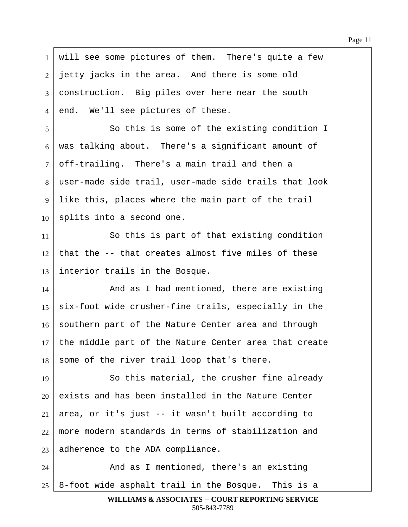| $\mathbf{1}$ | will see some pictures of them. There's quite a few   |
|--------------|-------------------------------------------------------|
| 2            | jetty jacks in the area. And there is some old        |
| 3            | construction. Big piles over here near the south      |
| 4            | end. We'll see pictures of these.                     |
| 5            | So this is some of the existing condition I           |
| 6            | was talking about. There's a significant amount of    |
| $\tau$       | off-trailing. There's a main trail and then a         |
| 8            | user-made side trail, user-made side trails that look |
| 9            | like this, places where the main part of the trail    |
| 10           | splits into a second one.                             |
| 11           | So this is part of that existing condition            |
| 12           | that the -- that creates almost five miles of these   |
| 13           | interior trails in the Bosque.                        |
| 14           | And as I had mentioned, there are existing            |
| 15           | six-foot wide crusher-fine trails, especially in the  |
| 16           | southern part of the Nature Center area and through   |
| 17           | the middle part of the Nature Center area that create |
| 18           | some of the river trail loop that's there.            |
| 19           | So this material, the crusher fine already            |
| 20           | exists and has been installed in the Nature Center    |
| 21           | area, or it's just -- it wasn't built according to    |
| 22           | more modern standards in terms of stabilization and   |
| 23           | adherence to the ADA compliance.                      |
| 24           | And as I mentioned, there's an existing               |
| 25           | 8-foot wide asphalt trail in the Bosque. This is a    |

Г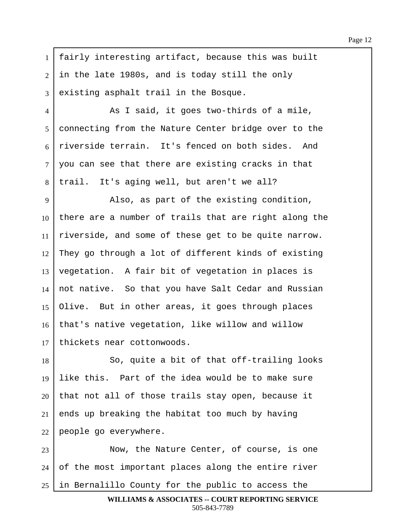1 | fairly interesting artifact, because this was built  $2$  in the late 1980s, and is today still the only 3 existing asphalt trail in the Bosque.

4 a a said, it goes two-thirds of a mile, 5 | connecting from the Nature Center bridge over to the 6 riverside terrain. It's fenced on both sides. And  $7\mid$  you can see that there are existing cracks in that  $8$  | trail. It's aging well, but aren't we all?

9 | Also, as part of the existing condition, there are a number of trails that are right along the riverside, and some of these get to be quite narrow. They go through a lot of different kinds of existing vegetation. A fair bit of vegetation in places is not native. So that you have Salt Cedar and Russian Olive. But in other areas, it goes through places 16 that's native vegetation, like willow and willow thickets near cottonwoods.

18 | So, quite a bit of that off-trailing looks 19 | like this. Part of the idea would be to make sure  $20$  that not all of those trails stay open, because it  $21$  ends up breaking the habitat too much by having  $22$  people go everywhere.

23 | Now, the Nature Center, of course, is one  $24$  of the most important places along the entire river  $25$  in Bernalillo County for the public to access the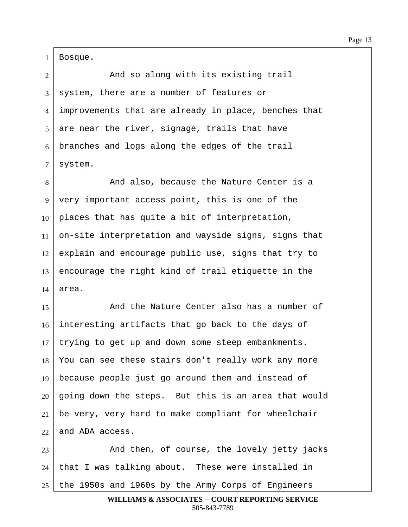Bosque.

2 | The Mand so along with its existing trail system, there are a number of features or 4 | improvements that are already in place, benches that are near the river, signage, trails that have branches and logs along the edges of the trail system.

8 And also, because the Nature Center is a very important access point, this is one of the places that has quite a bit of interpretation, on-site interpretation and wayside signs, signs that explain and encourage public use, signs that try to encourage the right kind of trail etiquette in the area.

15· · · · · · · And the Nature Center also has a number of interesting artifacts that go back to the days of trying to get up and down some steep embankments. 18 You can see these stairs don't really work any more 19 | because people just go around them and instead of going down the steps. But this is an area that would be very, very hard to make compliant for wheelchair and ADA access.

23 | And then, of course, the lovely jetty jacks | that I was talking about. These were installed in the 1950s and 1960s by the Army Corps of Engineers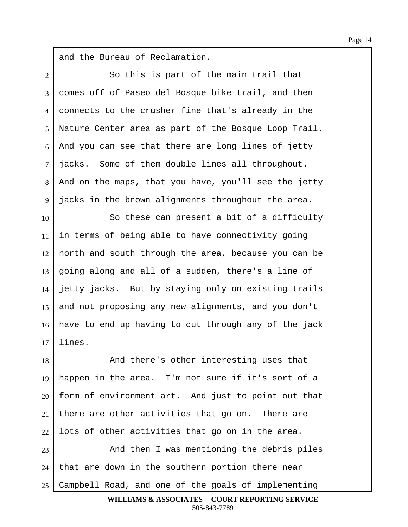1 and the Bureau of Reclamation.

2 So this is part of the main trail that 3 comes off of Paseo del Bosque bike trail, and then 4 connects to the crusher fine that's already in the 5 | Nature Center area as part of the Bosque Loop Trail.  $6$  And you can see that there are long lines of jetty 7 | jacks. Some of them double lines all throughout.  $8$  and on the maps, that you have, you'll see the jetty 9 | jacks in the brown alignments throughout the area. 10 So these can present a bit of a difficulty  $11$  in terms of being able to have connectivity going  $12$  north and south through the area, because you can be  $13$  going along and all of a sudden, there's a line of  $14$  jetty jacks. But by staying only on existing trails 15 and not proposing any new alignments, and you don't 16 | have to end up having to cut through any of the jack  $17$  lines. 18 **I And there's other interesting uses that** 19 | happen in the area. I'm not sure if it's sort of a  $20$  form of environment art. And just to point out that  $21$  there are other activities that go on. There are

23 | And then I was mentioning the debris piles  $24$  | that are down in the southern portion there near 25 Campbell Road, and one of the goals of implementing

 $22$  lots of other activities that go on in the area.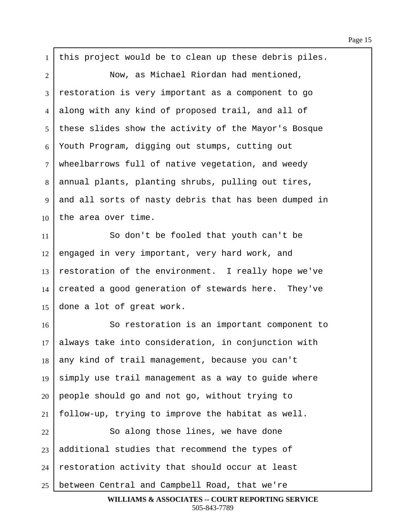$1$  this project would be to clean up these debris piles. 2 Now, as Michael Riordan had mentioned, 3 restoration is very important as a component to go 4 along with any kind of proposed trail, and all of 5 | these slides show the activity of the Mayor's Bosque  $6$  Youth Program, digging out stumps, cutting out  $7$  wheelbarrows full of native vegetation, and weedy 8 annual plants, planting shrubs, pulling out tires, 9 and all sorts of nasty debris that has been dumped in  $10$  the area over time. 11· · · · · · · So don't be fooled that youth can't be  $12$  engaged in very important, very hard work, and 13 restoration of the environment. I really hope we've  $14$  created a good generation of stewards here. They've 15  $\vert$  done a lot of great work. 16· · · · · · · So restoration is an important component to  $17$  always take into consideration, in conjunction with 18 any kind of trail management, because you can't 19  $\sin^{-1}$  simply use trail management as a way to guide where  $20$  people should go and not go, without trying to  $21$  | follow-up, trying to improve the habitat as well. 22 | So along those lines, we have done  $23$  additional studies that recommend the types of  $24$  restoration activity that should occur at least  $25$  between Central and Campbell Road, that we're

**WILLIAMS & ASSOCIATES -- COURT REPORTING SERVICE** 505-843-7789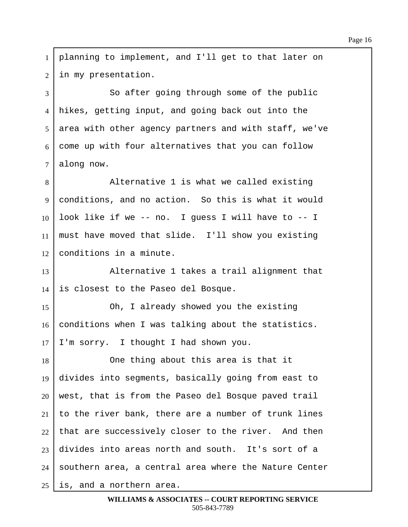1 | planning to implement, and I'll get to that later on 2 in my presentation. 3 So after going through some of the public 4 hikes, getting input, and going back out into the  $5$  area with other agency partners and with staff, we've  $6$  come up with four alternatives that you can follow  $7$  along now. 8 | Alternative 1 is what we called existing 9 conditions, and no action. So this is what it would  $10$  look like if we -- no. I guess I will have to -- I 11 | must have moved that slide. I'll show you existing  $12$  conditions in a minute. 13· · · · · · · Alternative 1 takes a trail alignment that  $14$  is closest to the Paseo del Bosque. 15 Oh, I already showed you the existing  $16$  conditions when I was talking about the statistics.  $17$  I'm sorry. I thought I had shown you. 18· · · · · · · One thing about this area is that it 19 divides into segments, basically going from east to  $20$  west, that is from the Paseo del Bosque paved trail 21 to the river bank, there are a number of trunk lines  $22$  that are successively closer to the river. And then  $23$  divides into areas north and south. It's sort of a  $24$  southern area, a central area where the Nature Center  $25$  is, and a northern area.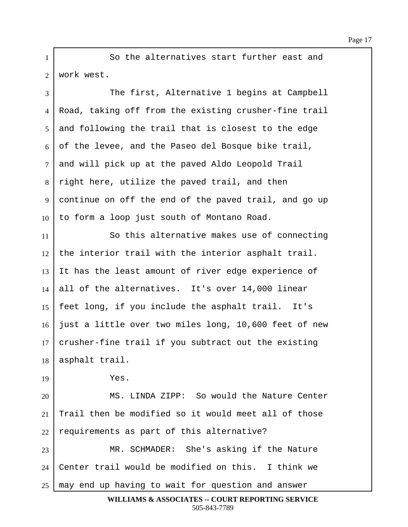1 **So the alternatives start further east and** 2 | work west.

3 The first, Alternative 1 begins at Campbell 4 Road, taking off from the existing crusher-fine trail 5 and following the trail that is closest to the edge  $6$  of the levee, and the Paseo del Bosque bike trail,  $7$  and will pick up at the paved Aldo Leopold Trail  $8$  right here, utilize the paved trail, and then 9 continue on off the end of the paved trail, and go up  $10$  to form a loop just south of Montano Road. 11· · · · · · · So this alternative makes use of connecting  $12$  the interior trail with the interior asphalt trail. 13 It has the least amount of river edge experience of  $14$  all of the alternatives. It's over 14,000 linear 15 | feet long, if you include the asphalt trail. It's  $16$  just a little over two miles long, 10,600 feet of new  $17$  crusher-fine trail if you subtract out the existing  $18$  asphalt trail.  $19$   $Yes.$ 20 | MS. LINDA ZIPP: So would the Nature Center  $21$  Trail then be modified so it would meet all of those  $22$  requirements as part of this alternative? 23 MR. SCHMADER: She's asking if the Nature 24  $\vert$  Center trail would be modified on this. I think we  $25$   $\mid$  may end up having to wait for question and answer **WILLIAMS & ASSOCIATES -- COURT REPORTING SERVICE**

505-843-7789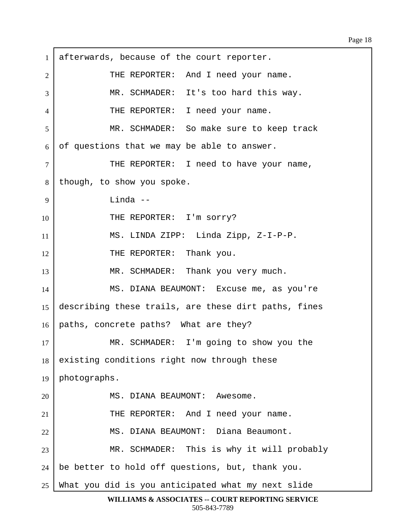$1$  afterwards, because of the court reporter. 2 THE REPORTER: And I need your name. 3 NR. SCHMADER: It's too hard this way. 4 THE REPORTER: I need your name. 5 | The SCHMADER: So make sure to keep track  $6 \mid$  of questions that we may be able to answer. 7 | THE REPORTER: I need to have your name, 8 | though, to show you spoke. 9 | Linda --10 | THE REPORTER: I'm sorry? 11 | MS. LINDA ZIPP: Linda Zipp, Z-I-P-P. 12 FIHE REPORTER: Thank you. 13 | MR. SCHMADER: Thank you very much. 14 | MS. DIANA BEAUMONT: Excuse me, as you're 15 describing these trails, are these dirt paths, fines 16 | paths, concrete paths? What are they? 17 MR. SCHMADER: I'm going to show you the  $18$  existing conditions right now through these  $19$  | photographs. 20 | MS. DIANA BEAUMONT: Awesome. 21 | THE REPORTER: And I need your name. 22 | MS. DIANA BEAUMONT: Diana Beaumont. 23 | MR. SCHMADER: This is why it will probably  $24$  | be better to hold off questions, but, thank you.  $25$  What you did is you anticipated what my next slide

**WILLIAMS & ASSOCIATES -- COURT REPORTING SERVICE** 505-843-7789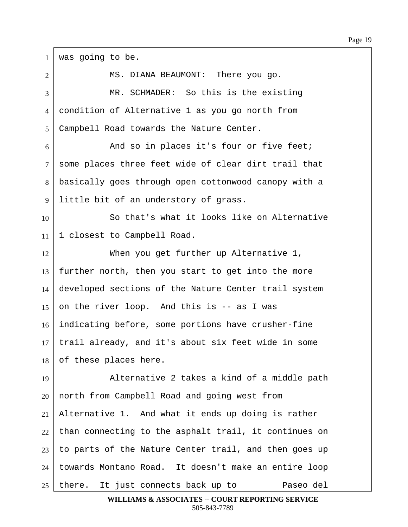| $\mathbf{1}$    | was going to be.                                      |
|-----------------|-------------------------------------------------------|
| $\overline{2}$  | MS. DIANA BEAUMONT: There you go.                     |
| 3               | MR. SCHMADER: So this is the existing                 |
| 4               | condition of Alternative 1 as you go north from       |
| 5               | Campbell Road towards the Nature Center.              |
| 6               | And so in places it's four or five feet;              |
| $\tau$          | some places three feet wide of clear dirt trail that  |
| 8               | basically goes through open cottonwood canopy with a  |
| 9               | little bit of an understory of grass.                 |
| 10              | So that's what it looks like on Alternative           |
| 11              | 1 closest to Campbell Road.                           |
| 12              | When you get further up Alternative 1,                |
| 13              | further north, then you start to get into the more    |
| 14              | developed sections of the Nature Center trail system  |
| 15              | on the river loop. And this is -- as I was            |
| 16              | indicating before, some portions have crusher-fine    |
| 17 <sup>1</sup> | trail already, and it's about six feet wide in some   |
| 18              | of these places here.                                 |
| 19              | Alternative 2 takes a kind of a middle path           |
| 20              | north from Campbell Road and going west from          |
| 21              | Alternative 1. And what it ends up doing is rather    |
| 22              | than connecting to the asphalt trail, it continues on |
| 23              | to parts of the Nature Center trail, and then goes up |
| 24              | towards Montano Road. It doesn't make an entire loop  |
| 25              | there. It just connects back up to<br>Paseo del       |

**WILLIAMS & ASSOCIATES -- COURT REPORTING SERVICE** 505-843-7789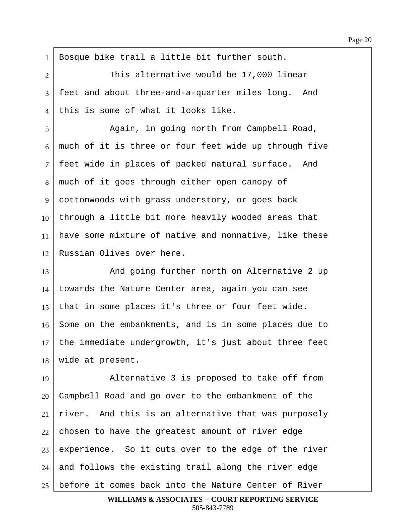$1$  Bosque bike trail a little bit further south. 2 This alternative would be 17,000 linear 3 | feet and about three-and-a-quarter miles long. And  $4$   $\vert$  this is some of what it looks like. ·5· · · · · · · Again, in going north from Campbell Road,  $6$  much of it is three or four feet wide up through five 7 | feet wide in places of packed natural surface. And 8 | much of it goes through either open canopy of 9 | cottonwoods with grass understory, or goes back  $10$  through a little bit more heavily wooded areas that  $11$  have some mixture of native and nonnative, like these 12 Russian Olives over here. 13 And going further north on Alternative 2 up  $14$  towards the Nature Center area, again you can see 15 | that in some places it's three or four feet wide. 16 Some on the embankments, and is in some places due to  $17$  the immediate undergrowth, it's just about three feet  $18$  wide at present. 19 | Alternative 3 is proposed to take off from 20 Campbell Road and go over to the embankment of the  $21$  river. And this is an alternative that was purposely  $22$  chosen to have the greatest amount of river edge  $23$  experience. So it cuts over to the edge of the river

 $24$  and follows the existing trail along the river edge  $25$  before it comes back into the Nature Center of River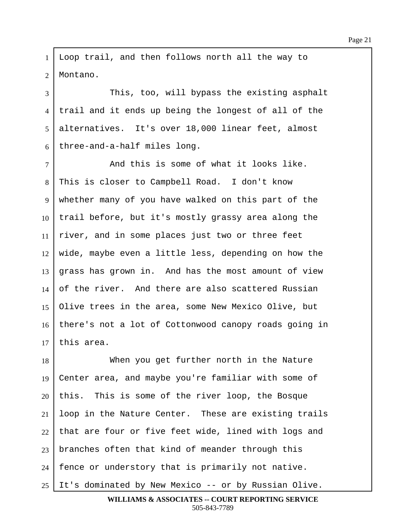1 Loop trail, and then follows north all the way to 2 | Montano.

3 This, too, will bypass the existing asphalt 4 trail and it ends up being the longest of all of the 5 alternatives. It's over 18,000 linear feet, almost  $6$  three-and-a-half miles long.

7 and this is some of what it looks like. 8 This is closer to Campbell Road. I don't know 9 whether many of you have walked on this part of the  $10$  trail before, but it's mostly grassy area along the  $11$  river, and in some places just two or three feet  $12$  wide, maybe even a little less, depending on how the  $13$  grass has grown in. And has the most amount of view 14 of the river. And there are also scattered Russian 15 Olive trees in the area, some New Mexico Olive, but 16 there's not a lot of Cottonwood canopy roads going in  $17$  this area.

18 When you get further north in the Nature 19 Center area, and maybe you're familiar with some of this. This is some of the river loop, the Bosque loop in the Nature Center. These are existing trails that are four or five feet wide, lined with logs and branches often that kind of meander through this | fence or understory that is primarily not native. 25 It's dominated by New Mexico -- or by Russian Olive.

**WILLIAMS & ASSOCIATES -- COURT REPORTING SERVICE** 505-843-7789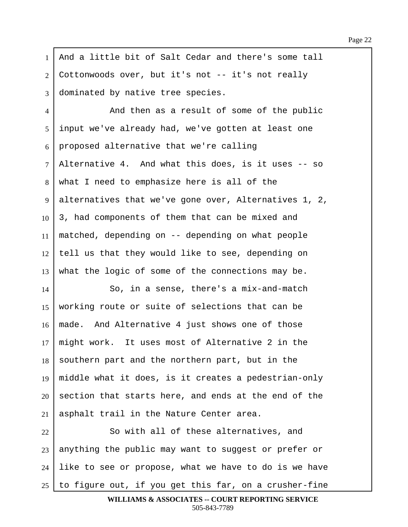1 | And a little bit of Salt Cedar and there's some tall  $2$  Cottonwoods over, but it's not  $-$  it's not really 3 dominated by native tree species. 4 and then as a result of some of the public 5 input we've already had, we've gotten at least one  $6$  | proposed alternative that we're calling 7 | Alternative 4. And what this does, is it uses -- so  $8 \mid$  what I need to emphasize here is all of the 9 alternatives that we've gone over, Alternatives 1, 2,  $10\mid 3$ , had components of them that can be mixed and 11 | matched, depending on  $-$  depending on what people  $12$  tell us that they would like to see, depending on  $13$  what the logic of some of the connections may be. 14 So, in a sense, there's a mix-and-match 15 | working route or suite of selections that can be  $16$   $\mid$  made. And Alternative 4 just shows one of those  $17$  might work. It uses most of Alternative 2 in the  $18$  southern part and the northern part, but in the 19 | middle what it does, is it creates a pedestrian-only  $20$  section that starts here, and ends at the end of the  $21$  asphalt trail in the Nature Center area. 22 | So with all of these alternatives, and  $23$  anything the public may want to suggest or prefer or  $24$  like to see or propose, what we have to do is we have

 $25$  to figure out, if you get this far, on a crusher-fine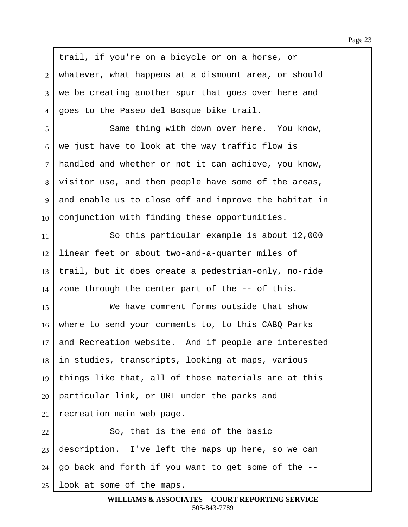$1$  trail, if you're on a bicycle or on a horse, or  $2$  whatever, what happens at a dismount area, or should 3 | we be creating another spur that goes over here and 4 | goes to the Paseo del Bosque bike trail. 5 Same thing with down over here. You know,  $6$  we just have to look at the way traffic flow is 7 | handled and whether or not it can achieve, you know, 8 visitor use, and then people have some of the areas, 9 and enable us to close off and improve the habitat in  $10$  conjunction with finding these opportunities. 11 So this particular example is about 12,000 12 Iinear feet or about two-and-a-quarter miles of 13 | trail, but it does create a pedestrian-only, no-ride  $14$  zone through the center part of the  $-$ - of this. 15 We have comment forms outside that show 16 where to send your comments to, to this CABQ Parks  $17$  and Recreation website. And if people are interested  $18$  in studies, transcripts, looking at maps, various 19  $\vert$  things like that, all of those materials are at this  $20$  | particular link, or URL under the parks and  $21$  recreation main web page.  $22$   $\vert$  80, that is the end of the basic  $23$  description. I've left the maps up here, so we can  $24$  | go back and forth if you want to get some of the  $-$ - $25$  look at some of the maps.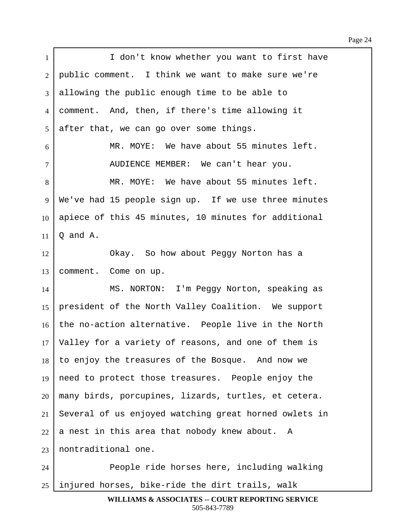Page 24

| $\mathbf{1}$   | I don't know whether you want to first have           |
|----------------|-------------------------------------------------------|
| $\overline{2}$ | public comment. I think we want to make sure we're    |
| 3              | allowing the public enough time to be able to         |
| 4              | comment. And, then, if there's time allowing it       |
| 5              | after that, we can go over some things.               |
| 6              | MR. MOYE: We have about 55 minutes left.              |
| $\overline{7}$ | AUDIENCE MEMBER: We can't hear you.                   |
| 8              | MR. MOYE: We have about 55 minutes left.              |
| 9              | We've had 15 people sign up. If we use three minutes  |
| 10             | apiece of this 45 minutes, 10 minutes for additional  |
| 11             | Q and A.                                              |
| 12             | Okay. So how about Peggy Norton has a                 |
| 13             | comment. Come on up.                                  |
| 14             | MS. NORTON: I'm Peggy Norton, speaking as             |
| 15             | president of the North Valley Coalition. We support   |
| 16             | the no-action alternative. People live in the North   |
| 17             | Valley for a variety of reasons, and one of them is   |
| 18             | to enjoy the treasures of the Bosque. And now we      |
| 19             | need to protect those treasures. People enjoy the     |
| 20             | many birds, porcupines, lizards, turtles, et cetera.  |
| 21             | Several of us enjoyed watching great horned owlets in |
| 22             | a nest in this area that nobody knew about. A         |
| 23             | nontraditional one.                                   |
| 24             | People ride horses here, including walking            |
| 25             | injured horses, bike-ride the dirt trails, walk       |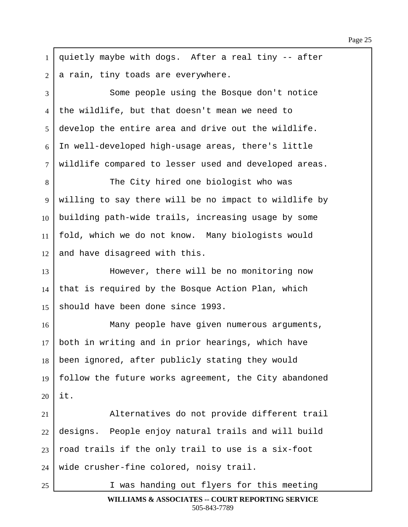1 | quietly maybe with dogs. After a real tiny  $-$ - after  $2$  a rain, tiny toads are everywhere. 3 Some people using the Bosque don't notice 4 the wildlife, but that doesn't mean we need to 5 develop the entire area and drive out the wildlife.  $6$  In well-developed high-usage areas, there's little 7 | wildlife compared to lesser used and developed areas. 8 The City hired one biologist who was 9 | willing to say there will be no impact to wildlife by  $10$  building path-wide trails, increasing usage by some 11 | fold, which we do not know. Many biologists would  $12$  and have disagreed with this. 13 | **Browever, there will be no monitoring now**  $14$  that is required by the Bosque Action Plan, which 15 | should have been done since 1993. 16· · · · · · · Many people have given numerous arguments, 17 | both in writing and in prior hearings, which have  $18$  been ignored, after publicly stating they would 19  $\vert$  follow the future works agreement, the City abandoned  $20$  it. 21 | Alternatives do not provide different trail  $22$  designs. People enjoy natural trails and will build  $23$  road trails if the only trail to use is a six-foot  $24$  wide crusher-fine colored, noisy trail. 25 I was handing out flyers for this meeting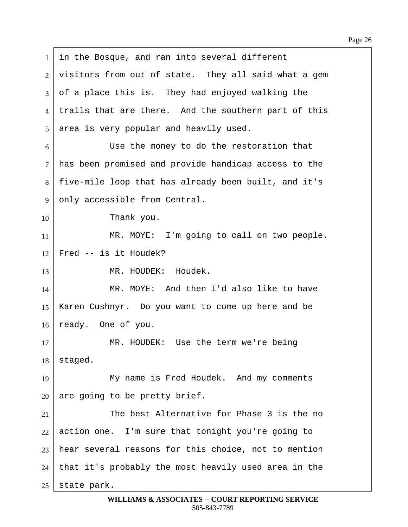$1$  in the Bosque, and ran into several different  $2$  visitors from out of state. They all said what a gem 3 of a place this is. They had enjoyed walking the 4 I trails that are there. And the southern part of this  $5$  area is very popular and heavily used. 6 Use the money to do the restoration that 7 | has been promised and provide handicap access to the 8 | five-mile loop that has already been built, and it's 9 only accessible from Central.  $10$  Thank you. 11 | MR. MOYE: I'm going to call on two people.  $12$  Fred  $-$  is it Houdek? 13 | MR. HOUDEK: Houdek. 14 MR. MOYE: And then I'd also like to have 15 | Karen Cushnyr. Do you want to come up here and be 16 | ready. One of you. 17 MR. HOUDEK: Use the term we're being  $18$  staged. 19 **In the My name is Fred Houdek.** And my comments  $20$  are going to be pretty brief. 21  $\vert$  21 The best Alternative for Phase 3 is the no  $22$  action one. I'm sure that tonight you're going to  $23$  hear several reasons for this choice, not to mention  $24$  | that it's probably the most heavily used area in the  $25$  state park.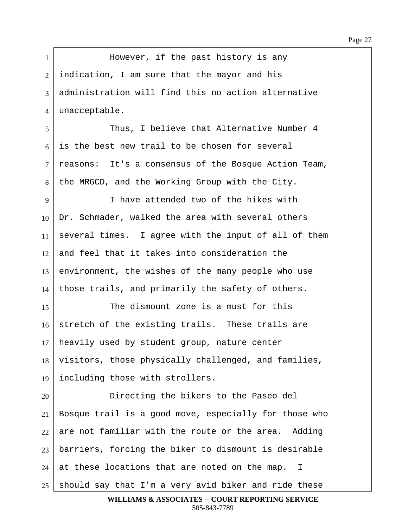1 | However, if the past history is any  $2$  | indication, I am sure that the mayor and his ·3· ·administration will find this no action alternative 4 unacceptable. ·5· · · · · · · Thus, I believe that Alternative Number 4  $6$  is the best new trail to be chosen for several 7 | reasons: It's a consensus of the Bosque Action Team, 8 | the MRGCD, and the Working Group with the City. 9 I have attended two of the hikes with  $10$  Dr. Schmader, walked the area with several others 11 several times. I agree with the input of all of them  $12$  and feel that it takes into consideration the  $13$  environment, the wishes of the many people who use  $14$  those trails, and primarily the safety of others. 15· · · · · · · The dismount zone is a must for this  $16$  stretch of the existing trails. These trails are  $17$  heavily used by student group, nature center 18 | visitors, those physically challenged, and families, 19 Including those with strollers. 20 Directing the bikers to the Paseo del  $21$  Bosque trail is a good move, especially for those who  $22$  are not familiar with the route or the area. Adding  $23$  barriers, forcing the biker to dismount is desirable  $24$  at these locations that are noted on the map. I  $25$  should say that I'm a very avid biker and ride these **WILLIAMS & ASSOCIATES -- COURT REPORTING SERVICE**

505-843-7789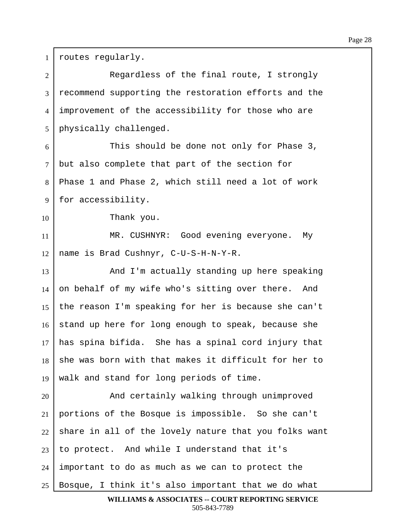1 | routes regularly. 2 Reqardless of the final route, I strongly 3 recommend supporting the restoration efforts and the 4 improvement of the accessibility for those who are 5 | physically challenged. 6 This should be done not only for Phase 3,  $7$  but also complete that part of the section for 8 | Phase 1 and Phase 2, which still need a lot of work 9 | for accessibility.  $10$  Thank you. 11 | MR. CUSHNYR: Good evening everyone. My  $12$  name is Brad Cushnyr, C-U-S-H-N-Y-R. 13 And I'm actually standing up here speaking 14 on behalf of my wife who's sitting over there. And 15 | the reason I'm speaking for her is because she can't 16 stand up here for long enough to speak, because she  $17$  has spina bifida. She has a spinal cord injury that  $18$  she was born with that makes it difficult for her to 19 | walk and stand for long periods of time. 20 And certainly walking through unimproved  $21$  portions of the Bosque is impossible. So she can't  $22$  share in all of the lovely nature that you folks want 23 | to protect. And while I understand that it's  $24$  important to do as much as we can to protect the  $25$  | Bosque, I think it's also important that we do what

## **WILLIAMS & ASSOCIATES -- COURT REPORTING SERVICE** 505-843-7789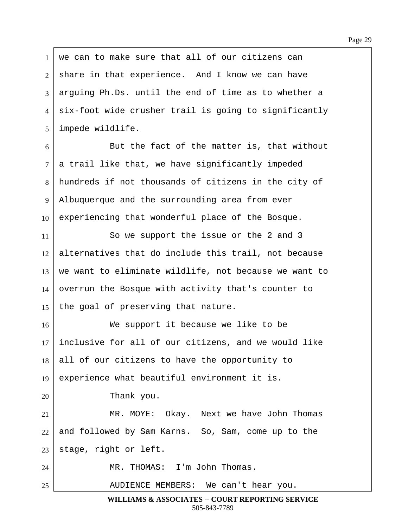$1$  we can to make sure that all of our citizens can  $2$  share in that experience. And I know we can have 3 arguing Ph.Ds. until the end of time as to whether a  $4$  six-foot wide crusher trail is going to significantly 5 | impede wildlife.

 $6$  But the fact of the matter is, that without  $7$  a trail like that, we have significantly impeded 8 hundreds if not thousands of citizens in the city of 9 Albuquerque and the surrounding area from ever  $10$  experiencing that wonderful place of the Bosque.

11 So we support the issue or the 2 and 3  $12$  alternatives that do include this trail, not because  $13$  we want to eliminate wildlife, not because we want to  $14$  overrun the Bosque with activity that's counter to 15 the goal of preserving that nature.

16· · · · · · · We support it because we like to be  $17$  inclusive for all of our citizens, and we would like  $18$  all of our citizens to have the opportunity to 19 experience what beautiful environment it is.

20 Thank you.

21 MR. MOYE: Okay. Next we have John Thomas  $22$  and followed by Sam Karns. So, Sam, come up to the  $23$  stage, right or left.

24 | MR. THOMAS: I'm John Thomas.

25 AUDIENCE MEMBERS: We can't hear you.

**WILLIAMS & ASSOCIATES -- COURT REPORTING SERVICE** 505-843-7789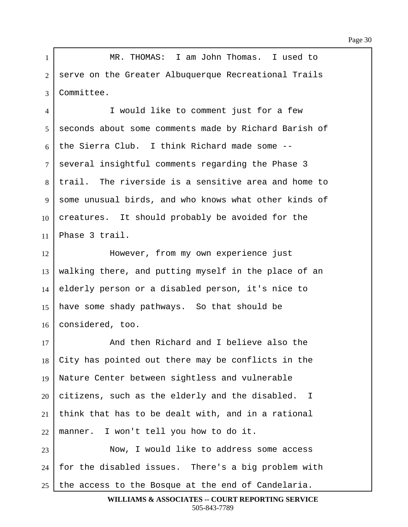1 | MR. THOMAS: I am John Thomas. I used to 2 | serve on the Greater Albuquerque Recreational Trails 3 Committee.

4 I would like to comment just for a few 5 | seconds about some comments made by Richard Barish of 6 the Sierra Club. I think Richard made some  $-$ -7 several insightful comments regarding the Phase 3  $8$  | trail. The riverside is a sensitive area and home to 9 some unusual birds, and who knows what other kinds of  $10$  creatures. It should probably be avoided for the  $11$  Phase 3 trail.

12· · · · · · · However, from my own experience just  $13$  walking there, and putting myself in the place of an  $14$  elderly person or a disabled person, it's nice to 15 | have some shady pathways. So that should be 16 | considered, too.

17 and then Richard and I believe also the  $\vert$  City has pointed out there may be conflicts in the 19 Nature Center between sightless and vulnerable citizens, such as the elderly and the disabled. I think that has to be dealt with, and in a rational | manner. I won't tell you how to do it.

23 Now, I would like to address some access  $24$   $\mid$  for the disabled issues. There's a big problem with 25  $\vert$  the access to the Bosque at the end of Candelaria.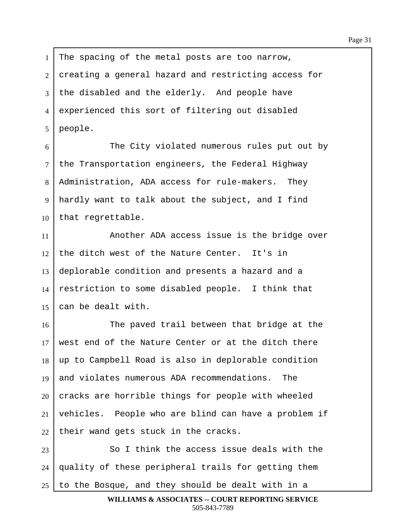1 The spacing of the metal posts are too narrow, 2 creating a general hazard and restricting access for  $3$  the disabled and the elderly. And people have 4 experienced this sort of filtering out disabled  $5$  | people.

6 The City violated numerous rules put out by  $7$  the Transportation engineers, the Federal Highway 8 | Administration, ADA access for rule-makers. They 9 | hardly want to talk about the subject, and I find  $10$  that regrettable.

11· · · · · · · Another ADA access issue is the bridge over the ditch west of the Nature Center. It's in deplorable condition and presents a hazard and a restriction to some disabled people. I think that  $\vert$  can be dealt with.

16· · · · · · · The paved trail between that bridge at the  $17$  west end of the Nature Center or at the ditch there 18 | up to Campbell Road is also in deplorable condition 19 and violates numerous ADA recommendations. The  $20$  cracks are horrible things for people with wheeled  $21$  vehicles. People who are blind can have a problem if  $22$  their wand gets stuck in the cracks.

23· · · · · · · So I think the access issue deals with the  $24$  | quality of these peripheral trails for getting them  $25$  to the Bosque, and they should be dealt with in a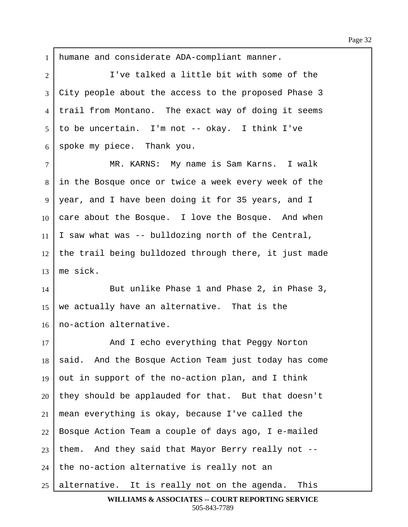1 | humane and considerate ADA-compliant manner. 2 | T've talked a little bit with some of the 3 City people about the access to the proposed Phase 3 4 I trail from Montano. The exact way of doing it seems  $5 \mid$  to be uncertain. I'm not -- okay. I think I've  $6$  spoke my piece. Thank you. 7 | MR. KARNS: My name is Sam Karns. I walk 8 in the Bosque once or twice a week every week of the 9 | year, and I have been doing it for 35 years, and I  $10$  care about the Bosque. I love the Bosque. And when  $11$  I saw what was -- bulldozing north of the Central,  $12$  the trail being bulldozed through there, it just made  $13$  | me sick. 14 But unlike Phase 1 and Phase 2, in Phase 3, 15 | we actually have an alternative. That is the 16 no-action alternative. 17 **And I** echo everything that Peggy Norton 18 | said. And the Bosque Action Team just today has come 19 out in support of the no-action plan, and I think  $20$  they should be applauded for that. But that doesn't  $21$  mean everything is okay, because I've called the  $22$  Bosque Action Team a couple of days ago, I e-mailed  $23$  them. And they said that Mayor Berry really not -- $24$  | the no-action alternative is really not an  $25$  alternative. It is really not on the agenda. This

**WILLIAMS & ASSOCIATES -- COURT REPORTING SERVICE** 505-843-7789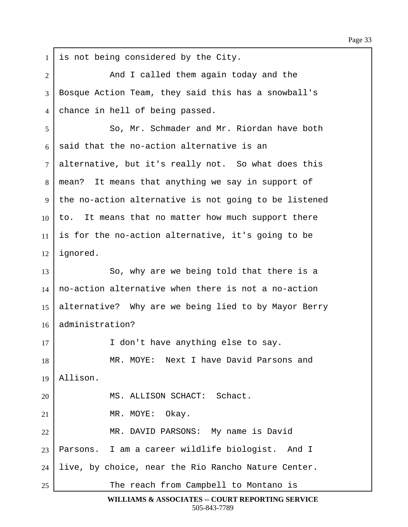$1$  is not being considered by the City. 2 and I called them again today and the 3 | Bosque Action Team, they said this has a snowball's 4 chance in hell of being passed. ·5· · · · · · · So, Mr. Schmader and Mr. Riordan have both  $6$  said that the no-action alternative is an  $7$  alternative, but it's really not. So what does this 8 | mean? It means that anything we say in support of 9 | the no-action alternative is not going to be listened  $10$  to. It means that no matter how much support there 11 is for the no-action alternative, it's going to be  $12$  ignored. 13 So, why are we being told that there is a  $14$  no-action alternative when there is not a no-action 15 alternative? Why are we being lied to by Mayor Berry 16 administration? 17 I don't have anything else to say. 18 MR. MOYE: Next I have David Parsons and  $19$  | Allison. 20 | MS. ALLISON SCHACT: Schact.  $21$  MR. MOYE: Okay. 22 | MR. DAVID PARSONS: My name is David  $23$  | Parsons. I am a career wildlife biologist. And I  $24$  live, by choice, near the Rio Rancho Nature Center. 25 The reach from Campbell to Montano is

> **WILLIAMS & ASSOCIATES -- COURT REPORTING SERVICE** 505-843-7789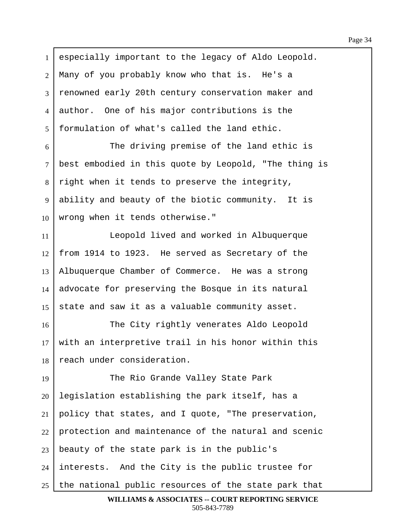| $\mathbf{1}$   | especially important to the legacy of Aldo Leopold.         |
|----------------|-------------------------------------------------------------|
| $\overline{2}$ | Many of you probably know who that is. He's a               |
| 3              | renowned early 20th century conservation maker and          |
| $\overline{4}$ | author. One of his major contributions is the               |
| $\mathfrak{S}$ | formulation of what's called the land ethic.                |
| 6              | The driving premise of the land ethic is                    |
| $\tau$         | best embodied in this quote by Leopold, "The thing is       |
| 8              | right when it tends to preserve the integrity,              |
| 9              | ability and beauty of the biotic community. It is           |
| 10             | wrong when it tends otherwise."                             |
| 11             | Leopold lived and worked in Albuquerque                     |
| 12             | from 1914 to 1923. He served as Secretary of the            |
| 13             | Albuquerque Chamber of Commerce. He was a strong            |
| 14             | advocate for preserving the Bosque in its natural           |
| 15             | state and saw it as a valuable community asset.             |
| 16             | The City rightly venerates Aldo Leopold                     |
| 17             | with an interpretive trail in his honor within this         |
| 18             | reach under consideration.                                  |
| 19             | The Rio Grande Valley State Park                            |
| 20             | legislation establishing the park itself, has a             |
| 21             | policy that states, and I quote, "The preservation,         |
| 22             | protection and maintenance of the natural and scenic        |
| 23             | beauty of the state park is in the public's                 |
| 24             | interests. And the City is the public trustee for           |
| 25             | the national public resources of the state park that        |
|                | <b>WILLIAMS &amp; ASSOCIATES -- COURT REPORTING SERVICE</b> |

505-843-7789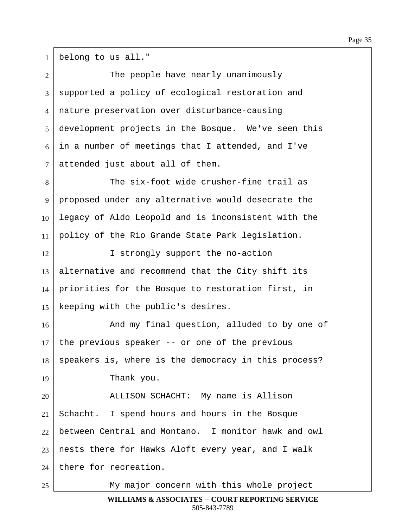$1$  belong to us all."

| $\overline{2}$ | The people have nearly unanimously                   |
|----------------|------------------------------------------------------|
| $\overline{3}$ | supported a policy of ecological restoration and     |
| $\overline{4}$ | nature preservation over disturbance-causing         |
| 5              | development projects in the Bosque. We've seen this  |
| 6              | in a number of meetings that I attended, and I've    |
| $\tau$         | attended just about all of them.                     |
| 8              | The six-foot wide crusher-fine trail as              |
| 9              | proposed under any alternative would desecrate the   |
| 10             | legacy of Aldo Leopold and is inconsistent with the  |
| 11             | policy of the Rio Grande State Park legislation.     |
| 12             | I strongly support the no-action                     |
| 13             | alternative and recommend that the City shift its    |
| 14             | priorities for the Bosque to restoration first, in   |
| 15             | keeping with the public's desires.                   |
| 16             | And my final question, alluded to by one of          |
| 17             | the previous speaker -- or one of the previous       |
| 18             | speakers is, where is the democracy in this process? |
| 19             | Thank you.                                           |
| 20             | ALLISON SCHACHT: My name is Allison                  |
| 21             | Schacht. I spend hours and hours in the Bosque       |
| 22             | between Central and Montano. I monitor hawk and owl  |
| 23             | nests there for Hawks Aloft every year, and I walk   |
| 24             | there for recreation.                                |
| 25             | My major concern with this whole project             |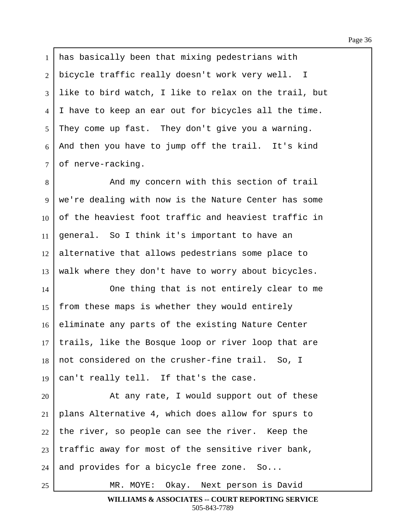1 has basically been that mixing pedestrians with bicycle traffic really doesn't work very well. I like to bird watch, I like to relax on the trail, but | I have to keep an ear out for bicycles all the time. They come up fast. They don't give you a warning. 6 | And then you have to jump off the trail. It's kind of nerve-racking.

8 And my concern with this section of trail 9 | we're dealing with now is the Nature Center has some 10 of the heaviest foot traffic and heaviest traffic in  $11$  | general. So I think it's important to have an  $12$  alternative that allows pedestrians some place to  $13$  walk where they don't have to worry about bicycles.

14 One thing that is not entirely clear to me 15 | from these maps is whether they would entirely 16 eliminate any parts of the existing Nature Center 17 | trails, like the Bosque loop or river loop that are  $18$  not considered on the crusher-fine trail. So, I 19  $\vert$  can't really tell. If that's the case.

20· · · · · · · At any rate, I would support out of these plans Alternative 4, which does allow for spurs to the river, so people can see the river. Keep the traffic away for most of the sensitive river bank, and provides for a bicycle free zone. So...

25 | MR. MOYE: Okay. Next person is David

**WILLIAMS & ASSOCIATES -- COURT REPORTING SERVICE** 505-843-7789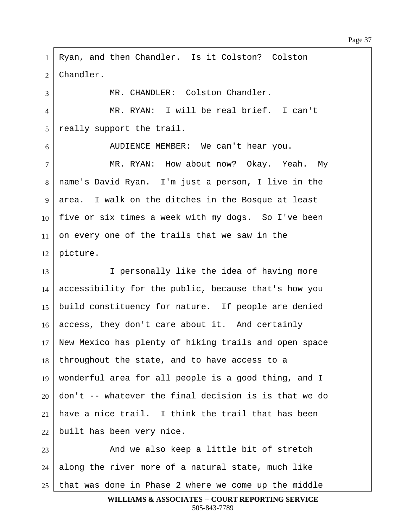1 Ryan, and then Chandler. Is it Colston? Colston  $2$  | Chandler. 3 | THE MR. CHANDLER: Colston Chandler. 4 | MR. RYAN: I will be real brief. I can't 5 really support the trail. 6 | AUDIENCE MEMBER: We can't hear you. 7 | MR. RYAN: How about now? Okay. Yeah. My 8 | name's David Ryan. I'm just a person, I live in the 9 area. I walk on the ditches in the Bosque at least  $10$  | five or six times a week with my dogs. So I've been  $11$  on every one of the trails that we saw in the  $12$  | picture. 13 I **I** personally like the idea of having more  $14$  accessibility for the public, because that's how you 15 | build constituency for nature. If people are denied  $16$  access, they don't care about it. And certainly 17 New Mexico has plenty of hiking trails and open space  $18$  throughout the state, and to have access to a 19 | wonderful area for all people is a good thing, and I  $20$  don't -- whatever the final decision is is that we do 21 | have a nice trail. I think the trail that has been  $22$  built has been very nice. 23 | And we also keep a little bit of stretch  $24$  along the river more of a natural state, much like  $25$  that was done in Phase 2 where we come up the middle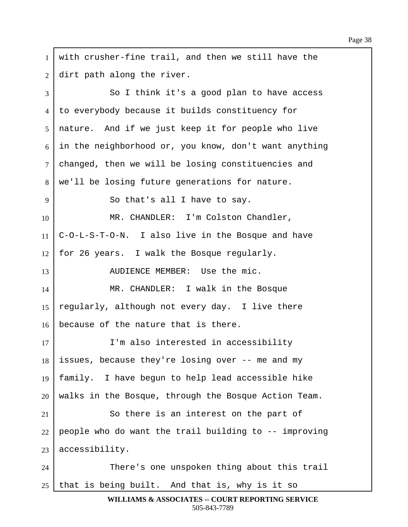$1$  with crusher-fine trail, and then we still have the  $2$  dirt path along the river. 3 So I think it's a good plan to have access 4 | to everybody because it builds constituency for 5 | nature. And if we just keep it for people who live  $6$  in the neighborhood or, you know, don't want anything 7 | changed, then we will be losing constituencies and 8 | we'll be losing future generations for nature. 9 | So that's all I have to say. 10 | MR. CHANDLER: I'm Colston Chandler,  $11$  | C-O-L-S-T-O-N. I also live in the Bosque and have 12 | for 26 years. I walk the Bosque regularly. 13 | AUDIENCE MEMBER: Use the mic. 14 MR. CHANDLER: I walk in the Bosque 15 regularly, although not every day. I live there  $16$  because of the nature that is there. 17 I'm also interested in accessibility  $18$  issues, because they're losing over  $-$ - me and my 19  $\frac{1}{9}$  family. I have begun to help lead accessible hike  $20$  walks in the Bosque, through the Bosque Action Team.  $21$  So there is an interest on the part of  $22$  people who do want the trail building to  $-$ - improving  $23$  accessibility. 24 There's one unspoken thing about this trail  $25$  that is being built. And that is, why is it so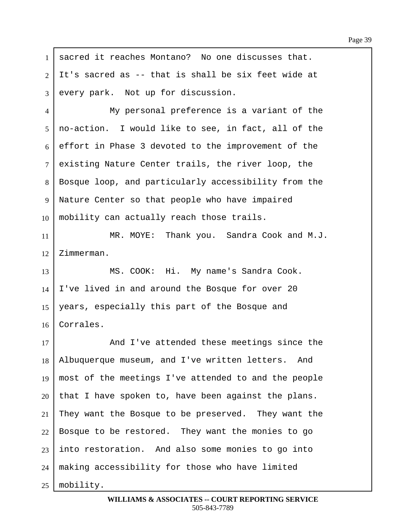1 | sacred it reaches Montano? No one discusses that.  $2$   $\vert$  It's sacred as -- that is shall be six feet wide at  $3$  every park. Not up for discussion. 4 My personal preference is a variant of the  $5 \mid$  no-action. I would like to see, in fact, all of the  $6$  effort in Phase 3 devoted to the improvement of the 7 existing Nature Center trails, the river loop, the 8 | Bosque loop, and particularly accessibility from the 9 | Nature Center so that people who have impaired  $10$  mobility can actually reach those trails. 11 | MR. MOYE: Thank you. Sandra Cook and M.J.  $12$  | Zimmerman. 13 | MS. COOK: Hi. My name's Sandra Cook.  $14$  I've lived in and around the Bosque for over 20 15 | years, especially this part of the Bosque and 16 Corrales. 17 **And I've attended these meetings since the** 18 | Albuquerque museum, and I've written letters. And 19 | most of the meetings I've attended to and the people  $20$  that I have spoken to, have been against the plans.  $21$  They want the Bosque to be preserved. They want the  $22$  Bosque to be restored. They want the monies to go  $23$  into restoration. And also some monies to go into  $24$  | making accessibility for those who have limited  $25$  | mobility.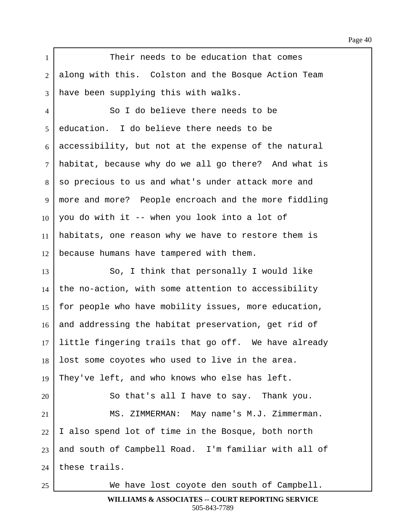Page 40

1 Their needs to be education that comes 2 along with this. Colston and the Bosque Action Team  $3$  have been supplying this with walks. 4 So I do believe there needs to be 5 education. I do believe there needs to be  $6$  accessibility, but not at the expense of the natural  $7$  habitat, because why do we all go there? And what is 8 so precious to us and what's under attack more and 9 | more and more? People encroach and the more fiddling  $10$  you do with it -- when you look into a lot of 11 | habitats, one reason why we have to restore them is  $12$  because humans have tampered with them. 13 So, I think that personally I would like  $14$  the no-action, with some attention to accessibility 15 | for people who have mobility issues, more education, 16 and addressing the habitat preservation, get rid of  $17$  little fingering trails that go off. We have already  $18$  lost some coyotes who used to live in the area. 19 They've left, and who knows who else has left. 20 So that's all I have to say. Thank you. 21 | MS. ZIMMERMAN: May name's M.J. Zimmerman.  $22$  I also spend lot of time in the Bosque, both north 23 and south of Campbell Road. I'm familiar with all of  $24$  these trails. 25 We have lost coyote den south of Campbell.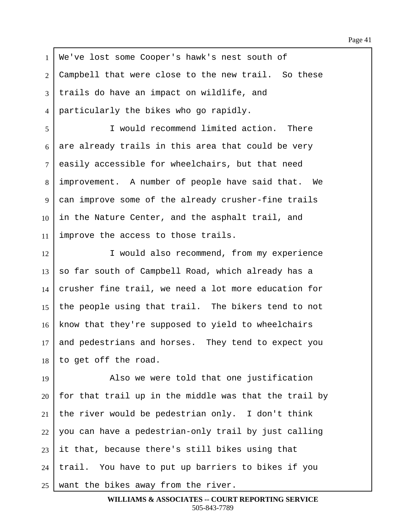1 | We've lost some Cooper's hawk's nest south of  $2$  Campbell that were close to the new trail. So these 3 trails do have an impact on wildlife, and 4 | particularly the bikes who go rapidly.

5 I would recommend limited action. There  $6$  are already trails in this area that could be very  $7$  easily accessible for wheelchairs, but that need 8 | improvement. A number of people have said that. We 9 can improve some of the already crusher-fine trails  $10$  in the Nature Center, and the asphalt trail, and 11 | improve the access to those trails.

12 I would also recommend, from my experience  $13$  so far south of Campbell Road, which already has a  $14$  crusher fine trail, we need a lot more education for 15 | the people using that trail. The bikers tend to not 16 | know that they're supposed to yield to wheelchairs 17 and pedestrians and horses. They tend to expect you  $18$  to get off the road.

19 Also we were told that one justification  $20$  for that trail up in the middle was that the trail by 21 the river would be pedestrian only. I don't think  $22$  you can have a pedestrian-only trail by just calling  $23$  it that, because there's still bikes using that  $24$  | trail. You have to put up barriers to bikes if you 25 | want the bikes away from the river.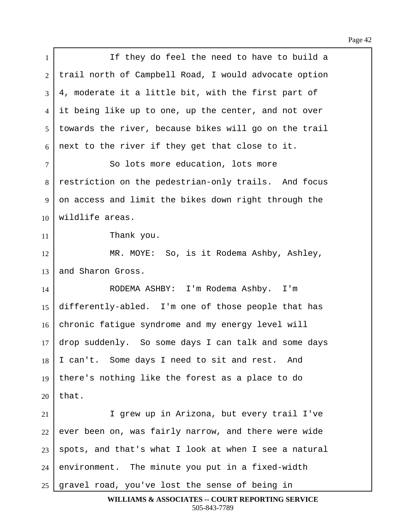| $\mathbf{1}$   | If they do feel the need to have to build a           |
|----------------|-------------------------------------------------------|
| $\overline{2}$ | trail north of Campbell Road, I would advocate option |
| 3              | 4, moderate it a little bit, with the first part of   |
| 4              | it being like up to one, up the center, and not over  |
| 5              | towards the river, because bikes will go on the trail |
| 6              | next to the river if they get that close to it.       |
| 7              | So lots more education, lots more                     |
| 8              | restriction on the pedestrian-only trails. And focus  |
| 9              | on access and limit the bikes down right through the  |
| 10             | wildlife areas.                                       |
| 11             | Thank you.                                            |
| 12             | MR. MOYE: So, is it Rodema Ashby, Ashley,             |
| 13             | and Sharon Gross.                                     |
| 14             | RODEMA ASHBY: I'm Rodema Ashby. I'm                   |
| 15             | differently-abled. I'm one of those people that has   |
| 16             | chronic fatigue syndrome and my energy level will     |
| 17             | drop suddenly. So some days I can talk and some days  |
| 18             | I can't. Some days I need to sit and rest. And        |
| 19             | there's nothing like the forest as a place to do      |
| 20             | that.                                                 |
| 21             | I grew up in Arizona, but every trail I've            |
| 22             | ever been on, was fairly narrow, and there were wide  |
| 23             | spots, and that's what I look at when I see a natural |
| 24             | environment. The minute you put in a fixed-width      |
| 25             | gravel road, you've lost the sense of being in        |
|                | WILLIAMS & ASSOCIATES -- COURT REPORTING SERVICE      |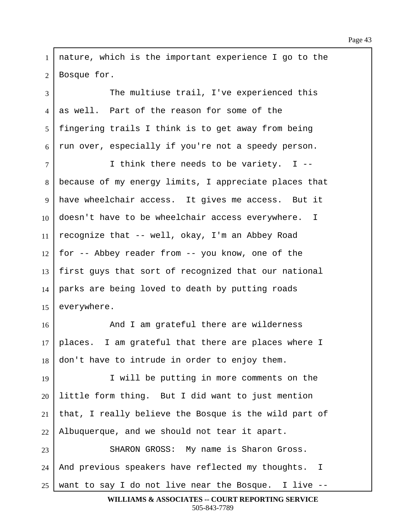1 | nature, which is the important experience I go to the  $2$  | Bosque for. 3 The multiuse trail, I've experienced this  $4 \mid$  as well. Part of the reason for some of the 5 | fingering trails I think is to get away from being  $6$  run over, especially if you're not a speedy person. ·7· · · · · · · I think there needs to be variety.··I -- 8 | because of my energy limits, I appreciate places that 9 | have wheelchair access. It gives me access. But it  $10\mid$  doesn't have to be wheelchair access everywhere. I 11 | recognize that -- well, okay, I'm an Abbey Road  $12$  for  $-$  Abbey reader from  $-$  you know, one of the  $13$  first guys that sort of recognized that our national  $14$  parks are being loved to death by putting roads  $15$  everywhere. 16· · · · · · · And I am grateful there are wilderness  $17$  places. I am grateful that there are places where I  $18$  don't have to intrude in order to enjoy them. 19 I will be putting in more comments on the  $20$  little form thing. But I did want to just mention  $21$  that, I really believe the Bosque is the wild part of  $22$  Albuquerque, and we should not tear it apart. 23 | SHARON GROSS: My name is Sharon Gross.  $24$  | And previous speakers have reflected my thoughts. I 25 | want to say I do not live near the Bosque. I live  $-$ -

**WILLIAMS & ASSOCIATES -- COURT REPORTING SERVICE** 505-843-7789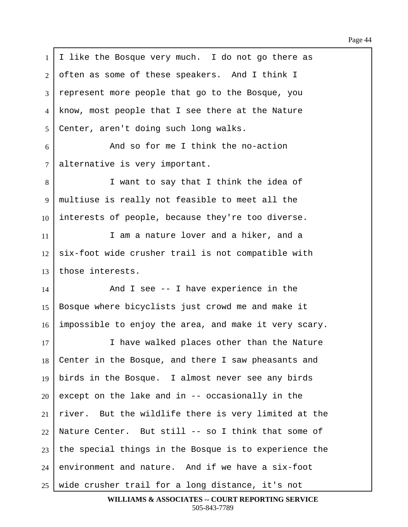$1 \mid I$  like the Bosque very much. I do not go there as  $2$  often as some of these speakers. And I think I 3 represent more people that go to the Bosque, you 4 | know, most people that I see there at the Nature 5 | Center, aren't doing such long walks. 6 And so for me I think the no-action  $7$  alternative is very important. 8 I want to say that I think the idea of 9 | multiuse is really not feasible to meet all the  $10$  interests of people, because they're too diverse. 11· · · · · · · I am a nature lover and a hiker, and a  $12$  six-foot wide crusher trail is not compatible with  $13$  those interests.  $14$   $\parallel$  and I see -- I have experience in the 15 | Bosque where bicyclists just crowd me and make it  $16$  impossible to enjoy the area, and make it very scary. 17 I have walked places other than the Nature 18 Center in the Bosque, and there I saw pheasants and 19 | birds in the Bosque. I almost never see any birds  $20$  except on the lake and in  $-$  occasionally in the  $21$  river. But the wildlife there is very limited at the 22 | Nature Center. But still -- so I think that some of  $23$  the special things in the Bosque is to experience the  $24$  environment and nature. And if we have a six-foot  $25$  wide crusher trail for a long distance, it's not

**WILLIAMS & ASSOCIATES -- COURT REPORTING SERVICE** 505-843-7789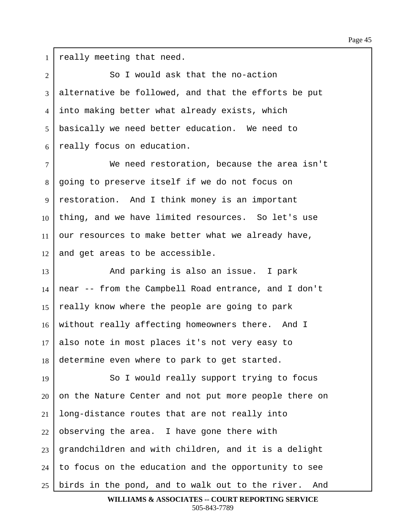$1$  really meeting that need.

2 So I would ask that the no-action  $3$  alternative be followed, and that the efforts be put 4 into making better what already exists, which 5 | basically we need better education. We need to  $6$  really focus on education.

·7· · · · · · · We need restoration, because the area isn't 8 going to preserve itself if we do not focus on 9 | restoration. And I think money is an important  $10$  thing, and we have limited resources. So let's use 11 our resources to make better what we already have,  $12$  and get areas to be accessible.

13 And parking is also an issue. I park  $14$  near -- from the Campbell Road entrance, and I don't 15  $\vert$  really know where the people are going to park 16 | without really affecting homeowners there. And I 17 also note in most places it's not very easy to 18 determine even where to park to get started.

19 | So I would really support trying to focus on the Nature Center and not put more people there on long-distance routes that are not really into observing the area. I have gone there with grandchildren and with children, and it is a delight  $\mid$  to focus on the education and the opportunity to see birds in the pond, and to walk out to the river. And

**WILLIAMS & ASSOCIATES -- COURT REPORTING SERVICE** 505-843-7789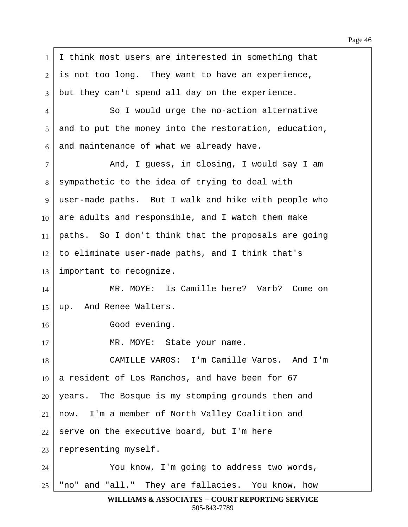1 I think most users are interested in something that  $2$  is not too long. They want to have an experience,  $3$  but they can't spend all day on the experience. 4 So I would urge the no-action alternative 5 and to put the money into the restoration, education,  $6$  and maintenance of what we already have.  $7$   $\vert$  and, I guess, in closing, I would say I am 8 sympathetic to the idea of trying to deal with 9 | user-made paths. But I walk and hike with people who  $10\,$  are adults and responsible, and I watch them make  $11$  paths. So I don't think that the proposals are going  $12$  to eliminate user-made paths, and I think that's  $13$  important to recognize. 14 | MR. MOYE: Is Camille here? Varb? Come on 15  $\mu$ . And Renee Walters. 16 **Blue Good evening.** 17 | MR. MOYE: State your name. 18 CAMILLE VAROS: I'm Camille Varos. And I'm 19  $\vert$  a resident of Los Ranchos, and have been for 67  $20$  | years. The Bosque is my stomping grounds then and  $21$  now. I'm a member of North Valley Coalition and  $22$  serve on the executive board, but I'm here  $23$  representing myself. 24 You know, I'm going to address two words, 25 | "no" and "all." They are fallacies. You know, how

**WILLIAMS & ASSOCIATES -- COURT REPORTING SERVICE** 505-843-7789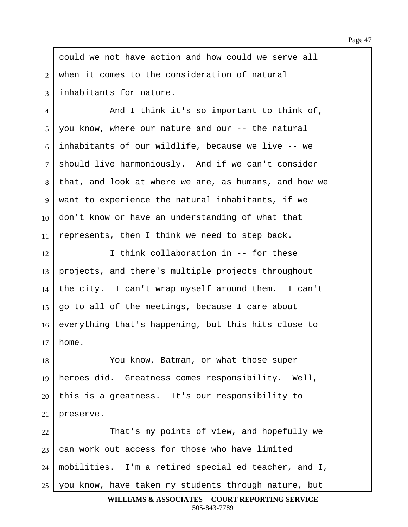1 could we not have action and how could we serve all  $2$  when it comes to the consideration of natural 3 I inhabitants for nature.

4 | And I think it's so important to think of,  $5 \mid$  you know, where our nature and our  $-$  the natural  $6$  inhabitants of our wildlife, because we live  $-$ - we 7 | should live harmoniously. And if we can't consider 8 | that, and look at where we are, as humans, and how we 9 | want to experience the natural inhabitants, if we  $10\,$  don't know or have an understanding of what that  $11$  represents, then I think we need to step back.

 $12$  I think collaboration in  $-$  for these 13 projects, and there's multiple projects throughout 14 the city. I can't wrap myself around them. I can't  $15$  | go to all of the meetings, because I care about 16 everything that's happening, but this hits close to  $17 \mid \text{home.}$ 

18 You know, Batman, or what those super 19 | heroes did. Greatness comes responsibility. Well,  $20$  | this is a greatness. It's our responsibility to  $21$  | preserve.

22 | That's my points of view, and hopefully we can work out access for those who have limited | mobilities. I'm a retired special ed teacher, and I, you know, have taken my students through nature, but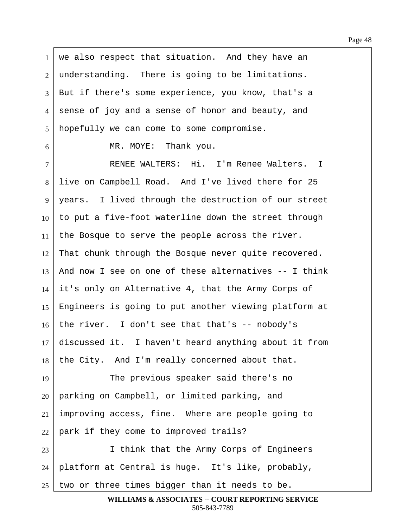$1$  we also respect that situation. And they have an  $2$  | understanding. There is going to be limitations. 3 But if there's some experience, you know, that's a 4 sense of joy and a sense of honor and beauty, and 5 | hopefully we can come to some compromise.  $6$   $\parallel$  MR. MOYE: Thank you. 7 | RENEE WALTERS: Hi. I'm Renee Walters. I 8 live on Campbell Road. And I've lived there for 25 9 | years. I lived through the destruction of our street  $10$  to put a five-foot waterline down the street through  $11$  the Bosque to serve the people across the river.  $12$  That chunk through the Bosque never quite recovered. 13 | And now I see on one of these alternatives  $-$  I think  $14$  it's only on Alternative 4, that the Army Corps of 15 | Engineers is going to put another viewing platform at  $16$  the river. I don't see that that's -- nobody's  $17$  discussed it. I haven't heard anything about it from 18 the City. And I'm really concerned about that. 19 The previous speaker said there's no  $20$  | parking on Campbell, or limited parking, and  $21$  improving access, fine. Where are people going to  $22$  | park if they come to improved trails? 23 | I think that the Army Corps of Engineers 24 | platform at Central is huge. It's like, probably,  $25$  two or three times bigger than it needs to be.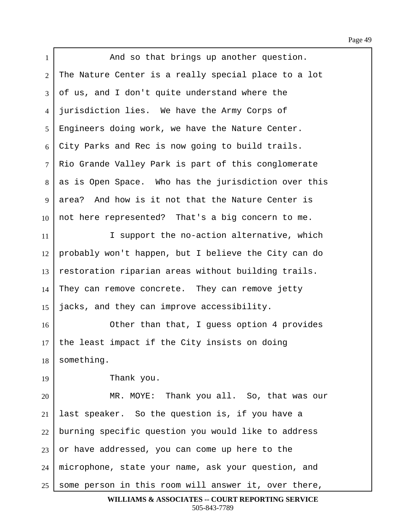Page 49

1 | **And so that brings up another question.**  | The Nature Center is a really special place to a lot of us, and I don't quite understand where the 4 | jurisdiction lies. We have the Army Corps of Engineers doing work, we have the Nature Center. City Parks and Rec is now going to build trails. 7 Rio Grande Valley Park is part of this conglomerate  $8 \mid$  as is Open Space. Who has the jurisdiction over this 9 area? And how is it not that the Nature Center is not here represented? That's a big concern to me. 11· · · · · · · I support the no-action alternative, which probably won't happen, but I believe the City can do restoration riparian areas without building trails. They can remove concrete. They can remove jetty  $\vert$  jacks, and they can improve accessibility. 16· · · · · · · Other than that, I guess option 4 provides the least impact if the City insists on doing something. Thank you. 20 MR. MOYE: Thank you all. So, that was our last speaker. So the question is, if you have a burning specific question you would like to address or have addressed, you can come up here to the 24 | microphone, state your name, ask your question, and some person in this room will answer it, over there, **WILLIAMS & ASSOCIATES -- COURT REPORTING SERVICE**

505-843-7789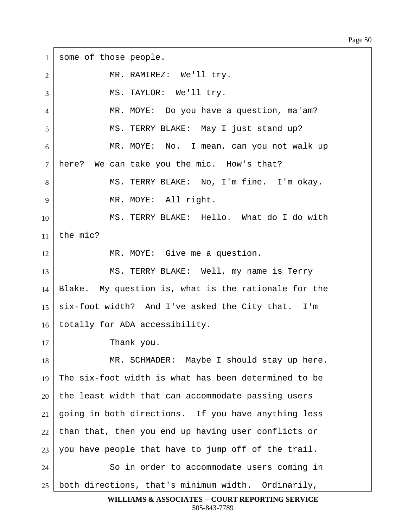1 some of those people. 2 | MR. RAMIREZ: We'll try. 3 | MS. TAYLOR: We'll try. 4 | MR. MOYE: Do you have a question, ma'am? 5 | MS. TERRY BLAKE: May I just stand up? 6 MR. MOYE: No. I mean, can you not walk up  $7$  here? We can take you the mic. How's that? 8 | MS. TERRY BLAKE: No, I'm fine. I'm okay. 9 | MR. MOYE: All right. 10 MS. TERRY BLAKE: Hello. What do I do with 11  $\vert$  the mic? 12 | MR. MOYE: Give me a question. 13 | MS. TERRY BLAKE: Well, my name is Terry  $14$  | Blake. My question is, what is the rationale for the 15  $\vert$  six-foot width? And I've asked the City that. I'm 16 | totally for ADA accessibility. 17 | Thank you. 18 | MR. SCHMADER: Maybe I should stay up here. 19 The six-foot width is what has been determined to be  $20$  the least width that can accommodate passing users  $21$  going in both directions. If you have anything less  $22$  than that, then you end up having user conflicts or  $23$  you have people that have to jump off of the trail. 24 So in order to accommodate users coming in  $25$  both directions, that's minimum width. Ordinarily,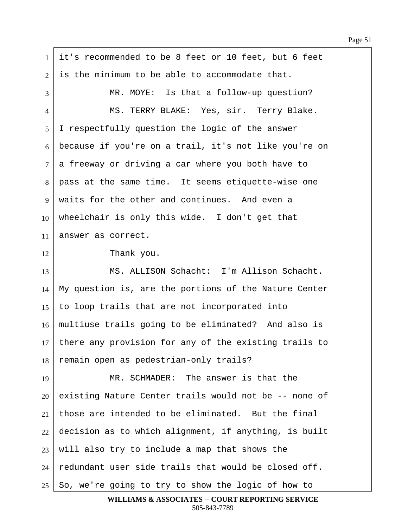1 it's recommended to be 8 feet or 10 feet, but 6 feet  $2$  is the minimum to be able to accommodate that. 3 MR. MOYE: Is that a follow-up question? 4 | MS. TERRY BLAKE: Yes, sir. Terry Blake. 5 I respectfully question the logic of the answer  $6$  because if you're on a trail, it's not like you're on  $7\mid a$  freeway or driving a car where you both have to 8 | pass at the same time. It seems etiquette-wise one  $9 \mid$  waits for the other and continues. And even a 10 wheelchair is only this wide. I don't get that 11 answer as correct. 12 Thank you. 13 | MS. ALLISON Schacht: I'm Allison Schacht.  $14$  My question is, are the portions of the Nature Center 15  $\vert$  to loop trails that are not incorporated into 16 | multiuse trails going to be eliminated? And also is  $17$  there any provision for any of the existing trails to 18 | remain open as pedestrian-only trails? 19 | MR. SCHMADER: The answer is that the  $20$  existing Nature Center trails would not be  $-$ - none of 21 those are intended to be eliminated. But the final  $22$  decision as to which alignment, if anything, is built  $23$  will also try to include a map that shows the  $24$  redundant user side trails that would be closed off.  $25$   $\vert$  So, we're going to try to show the logic of how to

**WILLIAMS & ASSOCIATES -- COURT REPORTING SERVICE** 505-843-7789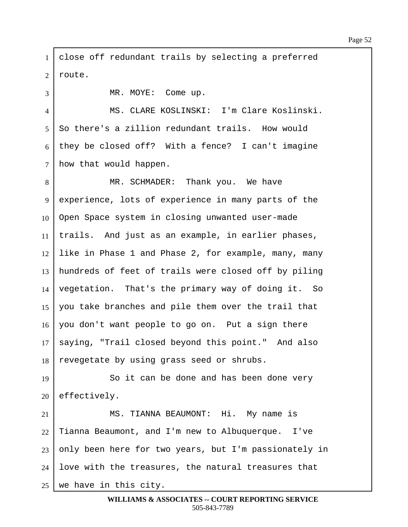1 | close off redundant trails by selecting a preferred 2 | route.

3 | MR. MOYE: Come up.

·4· · · · · · · MS. CLARE KOSLINSKI:··I'm Clare Koslinski.  $5 \mid$  So there's a zillion redundant trails. How would 6 they be closed off? With a fence? I can't imagine  $7$  how that would happen.

8 | MR. SCHMADER: Thank you. We have 9 experience, lots of experience in many parts of the 10 Open Space system in closing unwanted user-made  $11$  | trails. And just as an example, in earlier phases,  $12$  like in Phase 1 and Phase 2, for example, many, many 13 | hundreds of feet of trails were closed off by piling 14 vegetation. That's the primary way of doing it. So 15 | you take branches and pile them over the trail that  $16$  you don't want people to go on. Put a sign there 17 | saying, "Trail closed beyond this point." And also  $18$  revegetate by using grass seed or shrubs.

19 So it can be done and has been done very  $20$  effectively.

21 | MS. TIANNA BEAUMONT: Hi. My name is Tianna Beaumont, and I'm new to Albuquerque. I've only been here for two years, but I'm passionately in love with the treasures, the natural treasures that we have in this city.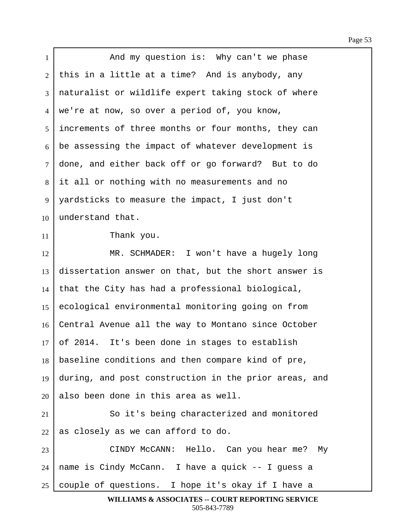| $\mathbf{1}$ | And my question is: Why can't we phase                |
|--------------|-------------------------------------------------------|
| 2            | this in a little at a time? And is anybody, any       |
| 3            | naturalist or wildlife expert taking stock of where   |
| 4            | we're at now, so over a period of, you know,          |
| 5            | increments of three months or four months, they can   |
| 6            | be assessing the impact of whatever development is    |
| $\tau$       | done, and either back off or go forward? But to do    |
| 8            | it all or nothing with no measurements and no         |
| 9            | yardsticks to measure the impact, I just don't        |
| 10           | understand that.                                      |
| 11           | Thank you.                                            |
| 12           | MR. SCHMADER: I won't have a hugely long              |
| 13           | dissertation answer on that, but the short answer is  |
| 14           | that the City has had a professional biological,      |
| 15           | ecological environmental monitoring going on from     |
| 16           | Central Avenue all the way to Montano since October   |
| 17           | of 2014. It's been done in stages to establish        |
| 18           | baseline conditions and then compare kind of pre,     |
| 19           | during, and post construction in the prior areas, and |
| 20           | also been done in this area as well.                  |
| 21           | So it's being characterized and monitored             |
| 22           | as closely as we can afford to do.                    |
| 23           | CINDY McCANN: Hello. Can you hear me? My              |
| 24           | name is Cindy McCann. I have a quick -- I guess a     |
| 25           | couple of questions. I hope it's okay if I have a     |
|              | WILLIAMS & ASSOCIATES -- COURT REPORTING SERVICE      |

Г

505-843-7789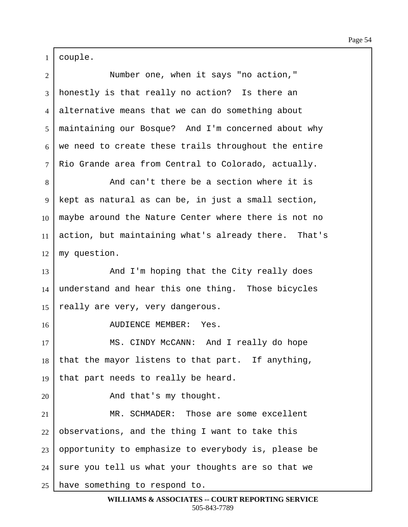$1 | \text{couple.}$ 

| $\overline{2}$ | Number one, when it says "no action,"                |
|----------------|------------------------------------------------------|
| 3              | honestly is that really no action? Is there an       |
| 4              | alternative means that we can do something about     |
| 5              | maintaining our Bosque? And I'm concerned about why  |
| 6              | we need to create these trails throughout the entire |
| $\tau$         | Rio Grande area from Central to Colorado, actually.  |
| 8              | And can't there be a section where it is             |
| 9              | kept as natural as can be, in just a small section,  |
| 10             | maybe around the Nature Center where there is not no |
| 11             | action, but maintaining what's already there. That's |
| 12             | my question.                                         |
| 13             | And I'm hoping that the City really does             |
| 14             | understand and hear this one thing. Those bicycles   |
| 15             | really are very, very dangerous.                     |
| 16             | AUDIENCE MEMBER: Yes.                                |
| 17             | MS. CINDY McCANN: And I really do hope               |
| 18             | that the mayor listens to that part. If anything,    |
| 19             | that part needs to really be heard.                  |
| 20             | And that's my thought.                               |
| 21             | MR. SCHMADER: Those are some excellent               |
| 22             | observations, and the thing I want to take this      |
| 23             | opportunity to emphasize to everybody is, please be  |
| 24             | sure you tell us what your thoughts are so that we   |
| 25             | have something to respond to.                        |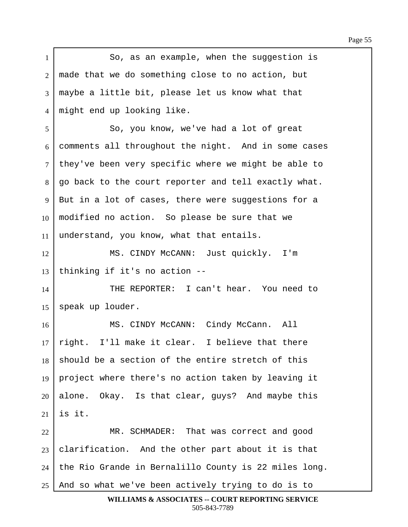1 **So, as an example, when the suggestion is**  $2 \mid$  made that we do something close to no action, but  $3$  maybe a little bit, please let us know what that 4 might end up looking like. ·5· · · · · · · So, you know, we've had a lot of great  $6$  comments all throughout the night. And in some cases  $7$  they've been very specific where we might be able to 8 | go back to the court reporter and tell exactly what.  $9 \mid$  But in a lot of cases, there were suggestions for a  $10\mid$  modified no action. So please be sure that we  $11$  understand, you know, what that entails. 12 | MS. CINDY McCANN: Just quickly. I'm  $13$  thinking if it's no action  $-$ 14 THE REPORTER: I can't hear. You need to  $15$  speak up louder. 16 | MS. CINDY McCANN: Cindy McCann. All  $17$  right. I'll make it clear. I believe that there  $18$  should be a section of the entire stretch of this 19 | project where there's no action taken by leaving it  $20$  alone. Okay. Is that clear, guys? And maybe this 21  $\vert$  is it. 22 MR. SCHMADER: That was correct and good  $23$  clarification. And the other part about it is that  $24$  | the Rio Grande in Bernalillo County is 22 miles long.  $25$  and so what we've been actively trying to do is to

**WILLIAMS & ASSOCIATES -- COURT REPORTING SERVICE** 505-843-7789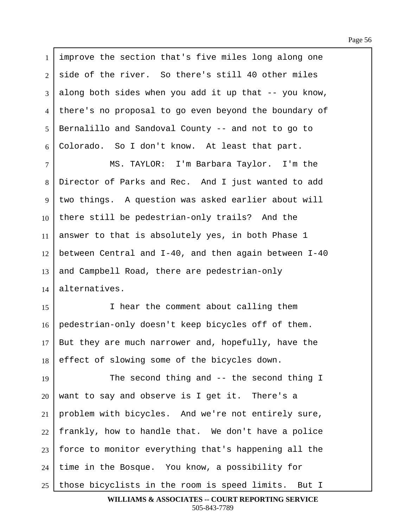1 improve the section that's five miles long along one  $2$  side of the river. So there's still 40 other miles  $3$  along both sides when you add it up that  $-$ - you know, 4 there's no proposal to go even beyond the boundary of 5 | Bernalillo and Sandoval County -- and not to go to  $6$  Colorado. So I don't know. At least that part. 7 | MS. TAYLOR: I'm Barbara Taylor. I'm the 8 Director of Parks and Rec. And I just wanted to add 9 two things. A question was asked earlier about will  $10$  there still be pedestrian-only trails? And the  $11$  answer to that is absolutely yes, in both Phase 1  $12$  between Central and I-40, and then again between I-40  $13$  and Campbell Road, there are pedestrian-only  $14$  alternatives. 15· · · · · · · I hear the comment about calling them 16 pedestrian-only doesn't keep bicycles off of them.  $17$  But they are much narrower and, hopefully, have the 18 effect of slowing some of the bicycles down. 19 The second thing and -- the second thing I  $20$  want to say and observe is I get it. There's a  $21$  problem with bicycles. And we're not entirely sure,  $22$  | frankly, how to handle that. We don't have a police  $23$  force to monitor everything that's happening all the  $24$  | time in the Bosque. You know, a possibility for  $25$  those bicyclists in the room is speed limits. But I

**WILLIAMS & ASSOCIATES -- COURT REPORTING SERVICE** 505-843-7789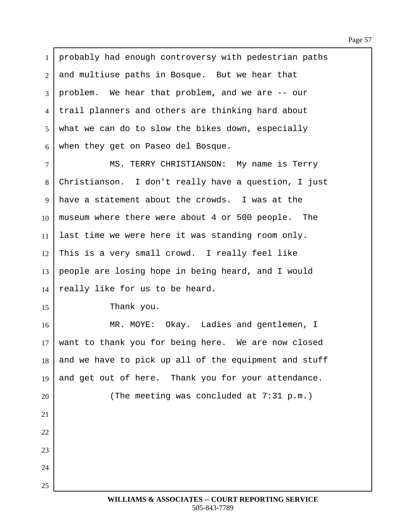1 | probably had enough controversy with pedestrian paths  $2$  and multiuse paths in Bosque. But we hear that  $3 \mid$  problem. We hear that problem, and we are  $-$  our 4 I trail planners and others are thinking hard about  $5$  what we can do to slow the bikes down, especially  $6$  when they get on Paseo del Bosque. 7 | MS. TERRY CHRISTIANSON: My name is Terry 8 Christianson. I don't really have a question, I just  $9 \mid$  have a statement about the crowds. I was at the 10 museum where there were about 4 or 500 people. The  $11$  last time we were here it was standing room only.  $12$  This is a very small crowd. I really feel like  $13$  people are losing hope in being heard, and I would 14  $\vert$  really like for us to be heard.  $15$  Thank you. 16 | MR. MOYE: Okay. Ladies and gentlemen, I  $17$  want to thank you for being here. We are now closed  $18$  and we have to pick up all of the equipment and stuff 19 and get out of here. Thank you for your attendance. 20 The meeting was concluded at 7:31 p.m.)  $21$  $22$ 23  $24$ 25· ·